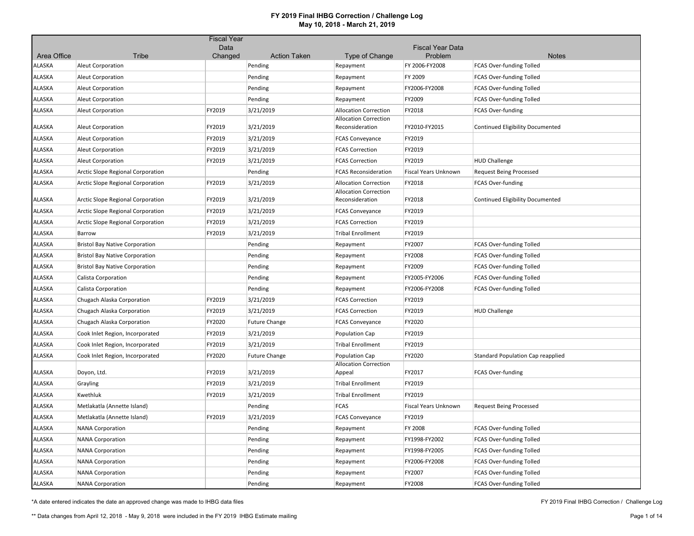|               |                                       | <b>Fiscal Year</b> |                        |                                                      |                                    |                                          |
|---------------|---------------------------------------|--------------------|------------------------|------------------------------------------------------|------------------------------------|------------------------------------------|
| Area Office   | <b>Tribe</b>                          | Data<br>Changed    | <b>Action Taken</b>    | Type of Change                                       | <b>Fiscal Year Data</b><br>Problem | <b>Notes</b>                             |
| ALASKA        | <b>Aleut Corporation</b>              |                    | Pending                | Repayment                                            | FY 2006-FY2008                     | <b>FCAS Over-funding Tolled</b>          |
| ALASKA        | Aleut Corporation                     |                    | Pending                | Repayment                                            | FY 2009                            | FCAS Over-funding Tolled                 |
| ALASKA        | <b>Aleut Corporation</b>              |                    | Pending                | Repayment                                            | FY2006-FY2008                      | FCAS Over-funding Tolled                 |
| ALASKA        | <b>Aleut Corporation</b>              |                    | Pending                | Repayment                                            | FY2009                             | <b>FCAS Over-funding Tolled</b>          |
| ALASKA        | <b>Aleut Corporation</b>              | FY2019             | 3/21/2019              | <b>Allocation Correction</b>                         | FY2018                             | <b>FCAS Over-funding</b>                 |
|               |                                       |                    |                        | <b>Allocation Correction</b>                         |                                    |                                          |
| ALASKA        | <b>Aleut Corporation</b>              | FY2019             | 3/21/2019              | Reconsideration                                      | FY2010-FY2015                      | <b>Continued Eligibility Documented</b>  |
| ALASKA        | <b>Aleut Corporation</b>              | FY2019             | 3/21/2019              | <b>FCAS Conveyance</b>                               | FY2019                             |                                          |
| ALASKA        | <b>Aleut Corporation</b>              | FY2019             | 3/21/2019              | <b>FCAS Correction</b>                               | FY2019                             |                                          |
| ALASKA        | <b>Aleut Corporation</b>              | FY2019             | 3/21/2019              | <b>FCAS Correction</b>                               | FY2019                             | <b>HUD Challenge</b>                     |
| <b>ALASKA</b> | Arctic Slope Regional Corporation     |                    | Pending                | <b>FCAS Reconsideration</b>                          | <b>Fiscal Years Unknown</b>        | <b>Request Being Processed</b>           |
| ALASKA        | Arctic Slope Regional Corporation     | FY2019             | 3/21/2019              | <b>Allocation Correction</b>                         | FY2018                             | <b>FCAS Over-funding</b>                 |
|               |                                       |                    |                        | <b>Allocation Correction</b>                         |                                    |                                          |
| ALASKA        | Arctic Slope Regional Corporation     | FY2019             | 3/21/2019              | Reconsideration                                      | FY2018                             | Continued Eligibility Documented         |
| ALASKA        | Arctic Slope Regional Corporation     | FY2019             | 3/21/2019              | <b>FCAS Conveyance</b>                               | FY2019                             |                                          |
| ALASKA        | Arctic Slope Regional Corporation     | FY2019             | 3/21/2019              | <b>FCAS Correction</b>                               | FY2019                             |                                          |
| ALASKA        | Barrow                                | FY2019             | 3/21/2019              | <b>Tribal Enrollment</b>                             | FY2019                             |                                          |
| ALASKA        | <b>Bristol Bay Native Corporation</b> |                    | Pending                | Repayment                                            | FY2007                             | FCAS Over-funding Tolled                 |
| ALASKA        | <b>Bristol Bay Native Corporation</b> |                    | Pending                | Repayment                                            | FY2008                             | <b>FCAS Over-funding Tolled</b>          |
| ALASKA        | <b>Bristol Bay Native Corporation</b> |                    | Pending                | Repayment                                            | FY2009                             | FCAS Over-funding Tolled                 |
| ALASKA        | Calista Corporation                   |                    | Pending                | Repayment                                            | FY2005-FY2006                      | FCAS Over-funding Tolled                 |
| ALASKA        | Calista Corporation                   |                    | Pending                | Repayment                                            | FY2006-FY2008                      | <b>FCAS Over-funding Tolled</b>          |
| ALASKA        | Chugach Alaska Corporation            | FY2019             | 3/21/2019              | <b>FCAS Correction</b>                               | FY2019                             |                                          |
| ALASKA        | Chugach Alaska Corporation            | FY2019             | 3/21/2019              | <b>FCAS Correction</b>                               | FY2019                             | <b>HUD Challenge</b>                     |
| ALASKA        | Chugach Alaska Corporation            | FY2020             | <b>Future Change</b>   | <b>FCAS Conveyance</b>                               | FY2020                             |                                          |
| ALASKA        | Cook Inlet Region, Incorporated       | FY2019             | 3/21/2019              | Population Cap                                       | FY2019                             |                                          |
| ALASKA        | Cook Inlet Region, Incorporated       | FY2019             | 3/21/2019              | <b>Tribal Enrollment</b>                             | FY2019                             |                                          |
| <b>ALASKA</b> | Cook Inlet Region, Incorporated       | FY2020             | <b>Future Change</b>   | Population Cap                                       | FY2020                             | <b>Standard Population Cap reapplied</b> |
| ALASKA        |                                       | FY2019             |                        | <b>Allocation Correction</b>                         | FY2017                             | <b>FCAS Over-funding</b>                 |
|               | Doyon, Ltd.                           |                    | 3/21/2019              | Appeal                                               |                                    |                                          |
| ALASKA        | Grayling<br>Kwethluk                  | FY2019<br>FY2019   | 3/21/2019<br>3/21/2019 | <b>Tribal Enrollment</b><br><b>Tribal Enrollment</b> | FY2019<br>FY2019                   |                                          |
| ALASKA        |                                       |                    |                        |                                                      |                                    |                                          |
| ALASKA        | Metlakatla (Annette Island)           |                    | Pending                | <b>FCAS</b>                                          | Fiscal Years Unknown               | <b>Request Being Processed</b>           |
| ALASKA        | Metlakatla (Annette Island)           | FY2019             | 3/21/2019              | <b>FCAS Conveyance</b>                               | FY2019                             |                                          |
| ALASKA        | <b>NANA Corporation</b>               |                    | Pending                | Repayment                                            | FY 2008                            | FCAS Over-funding Tolled                 |
| ALASKA        | <b>NANA Corporation</b>               |                    | Pending                | Repayment                                            | FY1998-FY2002                      | <b>FCAS Over-funding Tolled</b>          |
| ALASKA        | <b>NANA Corporation</b>               |                    | Pending                | Repayment                                            | FY1998-FY2005                      | FCAS Over-funding Tolled                 |
| ALASKA        | <b>NANA Corporation</b>               |                    | Pending                | Repayment                                            | FY2006-FY2008                      | <b>FCAS Over-funding Tolled</b>          |
| ALASKA        | <b>NANA Corporation</b>               |                    | Pending                | Repayment                                            | FY2007                             | <b>FCAS Over-funding Tolled</b>          |
| ALASKA        | <b>NANA Corporation</b>               |                    | Pending                | Repayment                                            | FY2008                             | <b>FCAS Over-funding Tolled</b>          |

\*A date entered indicates the date an approved change was made to IHBG data files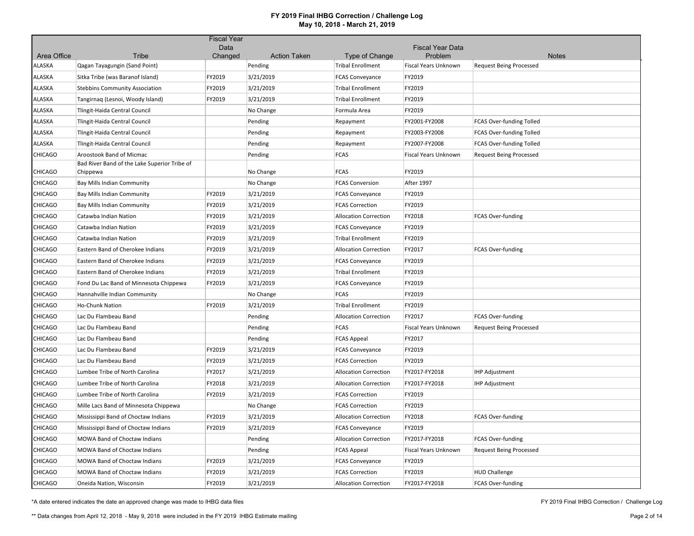|                |                                              | <b>Fiscal Year</b> |                     |                              |                                    |                                 |
|----------------|----------------------------------------------|--------------------|---------------------|------------------------------|------------------------------------|---------------------------------|
| Area Office    | Tribe                                        | Data<br>Changed    | <b>Action Taken</b> | Type of Change               | <b>Fiscal Year Data</b><br>Problem | <b>Notes</b>                    |
| ALASKA         | Qagan Tayagungin (Sand Point)                |                    | Pending             | <b>Tribal Enrollment</b>     | Fiscal Years Unknown               | <b>Request Being Processed</b>  |
| <b>ALASKA</b>  | Sitka Tribe (was Baranof Island)             | FY2019             | 3/21/2019           | <b>FCAS Conveyance</b>       | FY2019                             |                                 |
| <b>ALASKA</b>  | <b>Stebbins Community Association</b>        | FY2019             | 3/21/2019           | <b>Tribal Enrollment</b>     | FY2019                             |                                 |
| <b>ALASKA</b>  | Tangirnaq (Lesnoi, Woody Island)             | FY2019             | 3/21/2019           | <b>Tribal Enrollment</b>     | FY2019                             |                                 |
| <b>ALASKA</b>  | Tlingit-Haida Central Council                |                    | No Change           | Formula Area                 | FY2019                             |                                 |
| <b>ALASKA</b>  | Tlingit-Haida Central Council                |                    | Pending             | Repayment                    | FY2001-FY2008                      | FCAS Over-funding Tolled        |
| <b>ALASKA</b>  | Tlingit-Haida Central Council                |                    | Pending             | Repayment                    | FY2003-FY2008                      | <b>FCAS Over-funding Tolled</b> |
| ALASKA         | Tlingit-Haida Central Council                |                    | Pending             | Repayment                    | FY2007-FY2008                      | FCAS Over-funding Tolled        |
| <b>CHICAGO</b> | Aroostook Band of Micmac                     |                    | Pending             | <b>FCAS</b>                  | Fiscal Years Unknown               | <b>Request Being Processed</b>  |
|                | Bad River Band of the Lake Superior Tribe of |                    |                     |                              |                                    |                                 |
| <b>CHICAGO</b> | Chippewa                                     |                    | No Change           | <b>FCAS</b>                  | FY2019                             |                                 |
| <b>CHICAGO</b> | Bay Mills Indian Community                   |                    | No Change           | <b>FCAS Conversion</b>       | After 1997                         |                                 |
| <b>CHICAGO</b> | Bay Mills Indian Community                   | FY2019             | 3/21/2019           | <b>FCAS Conveyance</b>       | FY2019                             |                                 |
| <b>CHICAGO</b> | <b>Bay Mills Indian Community</b>            | FY2019             | 3/21/2019           | <b>FCAS Correction</b>       | FY2019                             |                                 |
| <b>CHICAGO</b> | Catawba Indian Nation                        | FY2019             | 3/21/2019           | <b>Allocation Correction</b> | FY2018                             | <b>FCAS Over-funding</b>        |
| <b>CHICAGO</b> | Catawba Indian Nation                        | FY2019             | 3/21/2019           | <b>FCAS Conveyance</b>       | FY2019                             |                                 |
| <b>CHICAGO</b> | Catawba Indian Nation                        | FY2019             | 3/21/2019           | <b>Tribal Enrollment</b>     | FY2019                             |                                 |
| <b>CHICAGO</b> | Eastern Band of Cherokee Indians             | FY2019             | 3/21/2019           | <b>Allocation Correction</b> | FY2017                             | <b>FCAS Over-funding</b>        |
| <b>CHICAGO</b> | Eastern Band of Cherokee Indians             | FY2019             | 3/21/2019           | <b>FCAS Conveyance</b>       | FY2019                             |                                 |
| <b>CHICAGO</b> | Eastern Band of Cherokee Indians             | FY2019             | 3/21/2019           | <b>Tribal Enrollment</b>     | FY2019                             |                                 |
| <b>CHICAGO</b> | Fond Du Lac Band of Minnesota Chippewa       | FY2019             | 3/21/2019           | <b>FCAS Conveyance</b>       | FY2019                             |                                 |
| <b>CHICAGO</b> | Hannahville Indian Community                 |                    | No Change           | <b>FCAS</b>                  | FY2019                             |                                 |
| <b>CHICAGO</b> | Ho-Chunk Nation                              | FY2019             | 3/21/2019           | <b>Tribal Enrollment</b>     | FY2019                             |                                 |
| <b>CHICAGO</b> | Lac Du Flambeau Band                         |                    | Pending             | <b>Allocation Correction</b> | FY2017                             | <b>FCAS Over-funding</b>        |
| <b>CHICAGO</b> | Lac Du Flambeau Band                         |                    | Pending             | <b>FCAS</b>                  | Fiscal Years Unknown               | <b>Request Being Processed</b>  |
| <b>CHICAGO</b> | Lac Du Flambeau Band                         |                    | Pending             | <b>FCAS Appeal</b>           | FY2017                             |                                 |
| <b>CHICAGO</b> | Lac Du Flambeau Band                         | FY2019             | 3/21/2019           | <b>FCAS Conveyance</b>       | FY2019                             |                                 |
| <b>CHICAGO</b> | Lac Du Flambeau Band                         | FY2019             | 3/21/2019           | <b>FCAS Correction</b>       | FY2019                             |                                 |
| <b>CHICAGO</b> | Lumbee Tribe of North Carolina               | FY2017             | 3/21/2019           | <b>Allocation Correction</b> | FY2017-FY2018                      | <b>IHP Adjustment</b>           |
| <b>CHICAGO</b> | Lumbee Tribe of North Carolina               | FY2018             | 3/21/2019           | <b>Allocation Correction</b> | FY2017-FY2018                      | <b>IHP Adjustment</b>           |
| <b>CHICAGO</b> | Lumbee Tribe of North Carolina               | FY2019             | 3/21/2019           | <b>FCAS Correction</b>       | FY2019                             |                                 |
| <b>CHICAGO</b> | Mille Lacs Band of Minnesota Chippewa        |                    | No Change           | <b>FCAS Correction</b>       | FY2019                             |                                 |
| <b>CHICAGO</b> | Mississippi Band of Choctaw Indians          | FY2019             | 3/21/2019           | <b>Allocation Correction</b> | FY2018                             | <b>FCAS Over-funding</b>        |
| <b>CHICAGO</b> | Mississippi Band of Choctaw Indians          | FY2019             | 3/21/2019           | <b>FCAS Conveyance</b>       | FY2019                             |                                 |
| <b>CHICAGO</b> | MOWA Band of Choctaw Indians                 |                    | Pending             | <b>Allocation Correction</b> | FY2017-FY2018                      | FCAS Over-funding               |
| <b>CHICAGO</b> | MOWA Band of Choctaw Indians                 |                    | Pending             | <b>FCAS Appeal</b>           | Fiscal Years Unknown               | <b>Request Being Processed</b>  |
| <b>CHICAGO</b> | MOWA Band of Choctaw Indians                 | FY2019             | 3/21/2019           | <b>FCAS Conveyance</b>       | FY2019                             |                                 |
| <b>CHICAGO</b> | MOWA Band of Choctaw Indians                 | FY2019             | 3/21/2019           | <b>FCAS Correction</b>       | FY2019                             | <b>HUD Challenge</b>            |
| <b>CHICAGO</b> | Oneida Nation, Wisconsin                     | FY2019             | 3/21/2019           | <b>Allocation Correction</b> | FY2017-FY2018                      | FCAS Over-funding               |

\*A date entered indicates the date an approved change was made to IHBG data files

FY 2019 Final IHBG Correction / Challenge Log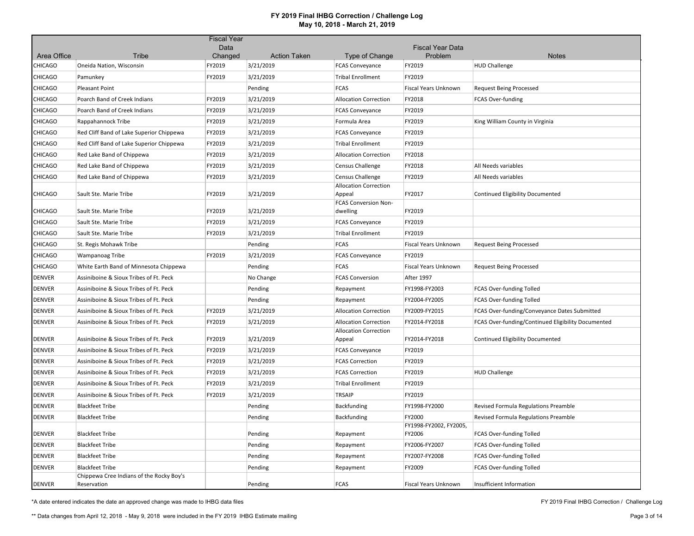|                |                                                         | <b>Fiscal Year</b> |                     |                                         |                                    |                                                    |
|----------------|---------------------------------------------------------|--------------------|---------------------|-----------------------------------------|------------------------------------|----------------------------------------------------|
| Area Office    | Tribe                                                   | Data<br>Changed    | <b>Action Taken</b> | Type of Change                          | <b>Fiscal Year Data</b><br>Problem | <b>Notes</b>                                       |
| CHICAGO        | Oneida Nation, Wisconsin                                | FY2019             | 3/21/2019           | <b>FCAS Conveyance</b>                  | FY2019                             | <b>HUD Challenge</b>                               |
| <b>CHICAGO</b> | Pamunkey                                                | FY2019             | 3/21/2019           | <b>Tribal Enrollment</b>                | FY2019                             |                                                    |
| <b>CHICAGO</b> | <b>Pleasant Point</b>                                   |                    | Pending             | <b>FCAS</b>                             | <b>Fiscal Years Unknown</b>        | <b>Request Being Processed</b>                     |
| <b>CHICAGO</b> | Poarch Band of Creek Indians                            | FY2019             | 3/21/2019           | <b>Allocation Correction</b>            | FY2018                             | <b>FCAS Over-funding</b>                           |
| CHICAGO        | Poarch Band of Creek Indians                            | FY2019             | 3/21/2019           | <b>FCAS Conveyance</b>                  | FY2019                             |                                                    |
| <b>CHICAGO</b> | Rappahannock Tribe                                      | FY2019             | 3/21/2019           | Formula Area                            | FY2019                             | King William County in Virginia                    |
| CHICAGO        | Red Cliff Band of Lake Superior Chippewa                | FY2019             | 3/21/2019           | <b>FCAS Conveyance</b>                  | FY2019                             |                                                    |
| <b>CHICAGO</b> | Red Cliff Band of Lake Superior Chippewa                | FY2019             | 3/21/2019           | <b>Tribal Enrollment</b>                | FY2019                             |                                                    |
| <b>CHICAGO</b> | Red Lake Band of Chippewa                               | FY2019             | 3/21/2019           | <b>Allocation Correction</b>            | FY2018                             |                                                    |
| <b>CHICAGO</b> | Red Lake Band of Chippewa                               | FY2019             | 3/21/2019           | <b>Census Challenge</b>                 | FY2018                             | All Needs variables                                |
| <b>CHICAGO</b> | Red Lake Band of Chippewa                               | FY2019             | 3/21/2019           | <b>Census Challenge</b>                 | FY2019                             | All Needs variables                                |
|                |                                                         |                    |                     | <b>Allocation Correction</b>            |                                    |                                                    |
| <b>CHICAGO</b> | Sault Ste. Marie Tribe                                  | FY2019             | 3/21/2019           | Appeal                                  | FY2017                             | Continued Eligibility Documented                   |
| CHICAGO        | Sault Ste. Marie Tribe                                  | FY2019             | 3/21/2019           | <b>FCAS Conversion Non-</b><br>dwelling | FY2019                             |                                                    |
| <b>CHICAGO</b> | Sault Ste. Marie Tribe                                  | FY2019             | 3/21/2019           | <b>FCAS Conveyance</b>                  | FY2019                             |                                                    |
| <b>CHICAGO</b> | Sault Ste. Marie Tribe                                  | FY2019             | 3/21/2019           | <b>Tribal Enrollment</b>                | FY2019                             |                                                    |
| <b>CHICAGO</b> | St. Regis Mohawk Tribe                                  |                    | Pending             | <b>FCAS</b>                             | <b>Fiscal Years Unknown</b>        | <b>Request Being Processed</b>                     |
| <b>CHICAGO</b> | Wampanoag Tribe                                         | FY2019             | 3/21/2019           | <b>FCAS Conveyance</b>                  | FY2019                             |                                                    |
| CHICAGO        | White Earth Band of Minnesota Chippewa                  |                    | Pending             | <b>FCAS</b>                             | Fiscal Years Unknown               | <b>Request Being Processed</b>                     |
| DENVER         | Assiniboine & Sioux Tribes of Ft. Peck                  |                    | No Change           | <b>FCAS Conversion</b>                  | After 1997                         |                                                    |
| <b>DENVER</b>  | Assiniboine & Sioux Tribes of Ft. Peck                  |                    | Pending             | Repayment                               | FY1998-FY2003                      | FCAS Over-funding Tolled                           |
| DENVER         | Assiniboine & Sioux Tribes of Ft. Peck                  |                    | Pending             | Repayment                               | FY2004-FY2005                      | FCAS Over-funding Tolled                           |
| DENVER         | Assiniboine & Sioux Tribes of Ft. Peck                  | FY2019             | 3/21/2019           | <b>Allocation Correction</b>            | FY2009-FY2015                      | FCAS Over-funding/Conveyance Dates Submitted       |
| DENVER         | Assiniboine & Sioux Tribes of Ft. Peck                  | FY2019             | 3/21/2019           | <b>Allocation Correction</b>            | FY2014-FY2018                      | FCAS Over-funding/Continued Eligibility Documented |
| <b>DENVER</b>  | Assiniboine & Sioux Tribes of Ft. Peck                  | FY2019             | 3/21/2019           | <b>Allocation Correction</b><br>Appeal  | FY2014-FY2018                      | Continued Eligibility Documented                   |
| <b>DENVER</b>  | Assiniboine & Sioux Tribes of Ft. Peck                  | FY2019             | 3/21/2019           | <b>FCAS Conveyance</b>                  | FY2019                             |                                                    |
| <b>DENVER</b>  | Assiniboine & Sioux Tribes of Ft. Peck                  | FY2019             | 3/21/2019           | <b>FCAS Correction</b>                  | FY2019                             |                                                    |
| DENVER         | Assiniboine & Sioux Tribes of Ft. Peck                  | FY2019             | 3/21/2019           | <b>FCAS Correction</b>                  | FY2019                             | <b>HUD Challenge</b>                               |
| DENVER         | Assiniboine & Sioux Tribes of Ft. Peck                  | FY2019             | 3/21/2019           | <b>Tribal Enrollment</b>                | FY2019                             |                                                    |
| DENVER         | Assiniboine & Sioux Tribes of Ft. Peck                  | FY2019             | 3/21/2019           | <b>TRSAIP</b>                           | FY2019                             |                                                    |
| DENVER         | <b>Blackfeet Tribe</b>                                  |                    | Pending             | Backfunding                             | FY1998-FY2000                      | Revised Formula Regulations Preamble               |
| <b>DENVER</b>  | <b>Blackfeet Tribe</b>                                  |                    | Pending             | Backfunding                             | FY2000                             | Revised Formula Regulations Preamble               |
| DENVER         | <b>Blackfeet Tribe</b>                                  |                    | Pending             | Repayment                               | FY1998-FY2002, FY2005,<br>FY2006   | FCAS Over-funding Tolled                           |
| DENVER         | <b>Blackfeet Tribe</b>                                  |                    | Pending             | Repayment                               | FY2006-FY2007                      | FCAS Over-funding Tolled                           |
| <b>DENVER</b>  | <b>Blackfeet Tribe</b>                                  |                    | Pending             | Repayment                               | FY2007-FY2008                      | FCAS Over-funding Tolled                           |
| DENVER         | <b>Blackfeet Tribe</b>                                  |                    | Pending             | Repayment                               | FY2009                             | FCAS Over-funding Tolled                           |
| <b>DENVER</b>  | Chippewa Cree Indians of the Rocky Boy's<br>Reservation |                    | Pending             | <b>FCAS</b>                             | <b>Fiscal Years Unknown</b>        | Insufficient Information                           |

\*A date entered indicates the date an approved change was made to IHBG data files

FY 2019 Final IHBG Correction / Challenge Log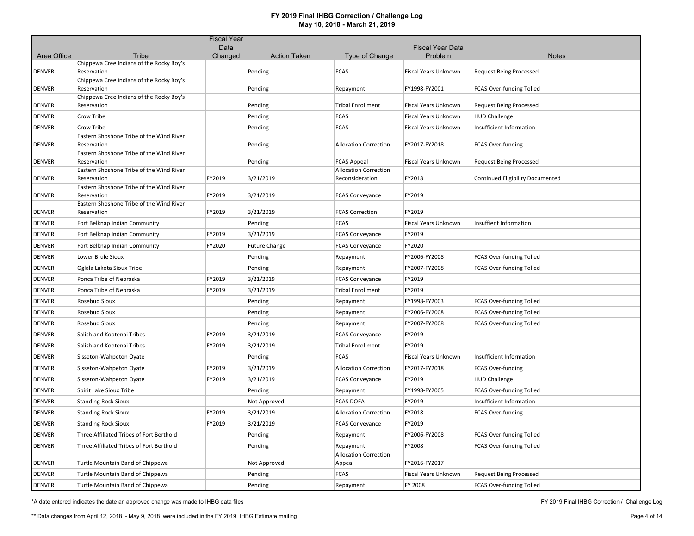|               |                                                         | <b>Fiscal Year</b> |                      |                                                 |                             |                                  |
|---------------|---------------------------------------------------------|--------------------|----------------------|-------------------------------------------------|-----------------------------|----------------------------------|
|               |                                                         | Data               |                      |                                                 | <b>Fiscal Year Data</b>     |                                  |
| Area Office   | Tribe<br>Chippewa Cree Indians of the Rocky Boy's       | Changed            | <b>Action Taken</b>  | Type of Change                                  | Problem                     | <b>Notes</b>                     |
| DENVER        | Reservation                                             |                    | Pending              | <b>FCAS</b>                                     | Fiscal Years Unknown        | <b>Request Being Processed</b>   |
| <b>DENVER</b> | Chippewa Cree Indians of the Rocky Boy's<br>Reservation |                    | Pending              | Repayment                                       | FY1998-FY2001               | <b>FCAS Over-funding Tolled</b>  |
| <b>DENVER</b> | Chippewa Cree Indians of the Rocky Boy's<br>Reservation |                    | Pending              | <b>Tribal Enrollment</b>                        | <b>Fiscal Years Unknown</b> | <b>Request Being Processed</b>   |
| DENVER        | Crow Tribe                                              |                    | Pending              | <b>FCAS</b>                                     | <b>Fiscal Years Unknown</b> | <b>HUD Challenge</b>             |
| DENVER        | Crow Tribe                                              |                    | Pending              | <b>FCAS</b>                                     | Fiscal Years Unknown        | Insufficient Information         |
| DENVER        | Eastern Shoshone Tribe of the Wind River<br>Reservation |                    | Pending              | <b>Allocation Correction</b>                    | FY2017-FY2018               | FCAS Over-funding                |
| <b>DENVER</b> | Eastern Shoshone Tribe of the Wind River<br>Reservation |                    | Pending              | <b>FCAS Appeal</b>                              | Fiscal Years Unknown        | <b>Request Being Processed</b>   |
| <b>DENVER</b> | Eastern Shoshone Tribe of the Wind River<br>Reservation | FY2019             | 3/21/2019            | <b>Allocation Correction</b><br>Reconsideration | FY2018                      | Continued Eligibility Documented |
| DENVER        | Eastern Shoshone Tribe of the Wind River<br>Reservation | FY2019             | 3/21/2019            | <b>FCAS Conveyance</b>                          | FY2019                      |                                  |
| <b>DENVER</b> | Eastern Shoshone Tribe of the Wind River<br>Reservation | FY2019             | 3/21/2019            | <b>FCAS Correction</b>                          | FY2019                      |                                  |
| DENVER        | Fort Belknap Indian Community                           |                    | Pending              | <b>FCAS</b>                                     | Fiscal Years Unknown        | Insuffient Information           |
| DENVER        | Fort Belknap Indian Community                           | FY2019             | 3/21/2019            | <b>FCAS Conveyance</b>                          | FY2019                      |                                  |
| DENVER        | Fort Belknap Indian Community                           | FY2020             | <b>Future Change</b> | <b>FCAS Conveyance</b>                          | FY2020                      |                                  |
| DENVER        | Lower Brule Sioux                                       |                    | Pending              | Repayment                                       | FY2006-FY2008               | FCAS Over-funding Tolled         |
| DENVER        | Oglala Lakota Sioux Tribe                               |                    | Pending              | Repayment                                       | FY2007-FY2008               | FCAS Over-funding Tolled         |
| DENVER        | Ponca Tribe of Nebraska                                 | FY2019             | 3/21/2019            | <b>FCAS Conveyance</b>                          | FY2019                      |                                  |
| DENVER        | Ponca Tribe of Nebraska                                 | FY2019             | 3/21/2019            | <b>Tribal Enrollment</b>                        | FY2019                      |                                  |
| <b>DENVER</b> | Rosebud Sioux                                           |                    | Pending              | Repayment                                       | FY1998-FY2003               | FCAS Over-funding Tolled         |
| DENVER        | Rosebud Sioux                                           |                    | Pending              | Repayment                                       | FY2006-FY2008               | FCAS Over-funding Tolled         |
| DENVER        | Rosebud Sioux                                           |                    | Pending              | Repayment                                       | FY2007-FY2008               | FCAS Over-funding Tolled         |
| <b>DENVER</b> | Salish and Kootenai Tribes                              | FY2019             | 3/21/2019            | <b>FCAS Conveyance</b>                          | FY2019                      |                                  |
| DENVER        | Salish and Kootenai Tribes                              | FY2019             | 3/21/2019            | <b>Tribal Enrollment</b>                        | FY2019                      |                                  |
| DENVER        | Sisseton-Wahpeton Oyate                                 |                    | Pending              | <b>FCAS</b>                                     | <b>Fiscal Years Unknown</b> | Insufficient Information         |
| <b>DENVER</b> | Sisseton-Wahpeton Oyate                                 | FY2019             | 3/21/2019            | <b>Allocation Correction</b>                    | FY2017-FY2018               | FCAS Over-funding                |
| DENVER        | Sisseton-Wahpeton Oyate                                 | FY2019             | 3/21/2019            | <b>FCAS Conveyance</b>                          | FY2019                      | <b>HUD Challenge</b>             |
| DENVER        | Spirit Lake Sioux Tribe                                 |                    | Pending              | Repayment                                       | FY1998-FY2005               | FCAS Over-funding Tolled         |
| DENVER        | <b>Standing Rock Sioux</b>                              |                    | Not Approved         | <b>FCAS DOFA</b>                                | FY2019                      | Insufficient Information         |
| DENVER        | <b>Standing Rock Sioux</b>                              | FY2019             | 3/21/2019            | <b>Allocation Correction</b>                    | FY2018                      | <b>FCAS Over-funding</b>         |
| <b>DENVER</b> | <b>Standing Rock Sioux</b>                              | FY2019             | 3/21/2019            | <b>FCAS Conveyance</b>                          | FY2019                      |                                  |
| DENVER        | Three Affiliated Tribes of Fort Berthold                |                    | Pending              | Repayment                                       | FY2006-FY2008               | FCAS Over-funding Tolled         |
| DENVER        | Three Affiliated Tribes of Fort Berthold                |                    | Pending              | Repayment                                       | FY2008                      | FCAS Over-funding Tolled         |
| DENVER        | Turtle Mountain Band of Chippewa                        |                    | Not Approved         | <b>Allocation Correction</b><br>Appeal          | FY2016-FY2017               |                                  |
| DENVER        | Turtle Mountain Band of Chippewa                        |                    | Pending              | <b>FCAS</b>                                     | Fiscal Years Unknown        | <b>Request Being Processed</b>   |
| <b>DENVER</b> | Turtle Mountain Band of Chippewa                        |                    | Pending              | Repayment                                       | <b>FY 2008</b>              | FCAS Over-funding Tolled         |

\*A date entered indicates the date an approved change was made to IHBG data files

FY 2019 Final IHBG Correction / Challenge Log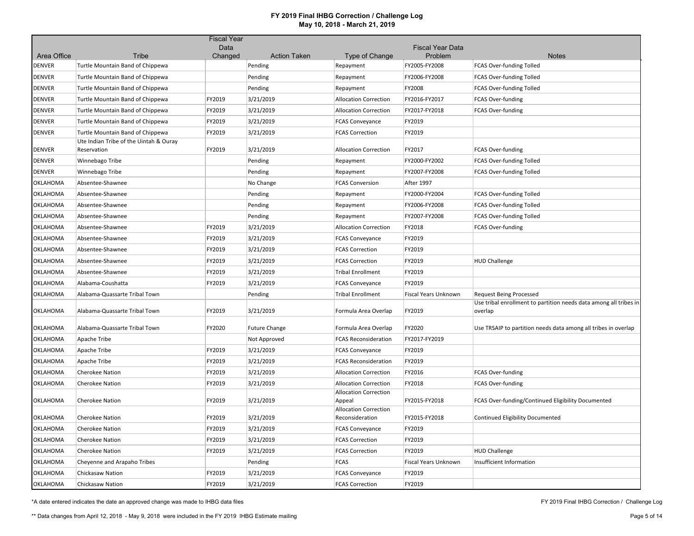| Area Office<br>Tribe<br>Changed<br><b>Action Taken</b><br>Type of Change<br>Problem<br><b>Notes</b><br>DENVER<br>Pending<br><b>FCAS Over-funding Tolled</b><br>Turtle Mountain Band of Chippewa<br>Repayment<br>FY2005-FY2008<br><b>DENVER</b><br>Pending<br>FY2006-FY2008<br>Turtle Mountain Band of Chippewa<br>Repayment<br><b>FCAS Over-funding Tolled</b><br><b>DENVER</b><br>FY2008<br>Turtle Mountain Band of Chippewa<br>Pending<br><b>FCAS Over-funding Tolled</b><br>Repayment<br>3/21/2019<br><b>DENVER</b><br>FY2019<br>FY2016-FY2017<br><b>FCAS Over-funding</b><br>Turtle Mountain Band of Chippewa<br><b>Allocation Correction</b><br><b>DENVER</b><br>FY2019<br>3/21/2019<br><b>Allocation Correction</b><br>FY2017-FY2018<br><b>FCAS Over-funding</b><br>Turtle Mountain Band of Chippewa<br><b>DENVER</b><br>FY2019<br>3/21/2019<br>FY2019<br>Turtle Mountain Band of Chippewa<br><b>FCAS Conveyance</b><br>FY2019<br>FY2019<br><b>DENVER</b><br>3/21/2019<br>Turtle Mountain Band of Chippewa<br><b>FCAS Correction</b><br>Ute Indian Tribe of the Uintah & Ouray<br>FY2019<br><b>DENVER</b><br>Reservation<br>3/21/2019<br>FY2017<br><b>FCAS Over-funding</b><br><b>Allocation Correction</b><br><b>DENVER</b><br>Winnebago Tribe<br>Pending<br>FY2000-FY2002<br><b>FCAS Over-funding Tolled</b><br>Repayment<br><b>DENVER</b><br>FY2007-FY2008<br>FCAS Over-funding Tolled<br>Winnebago Tribe<br>Pending<br>Repayment<br>OKLAHOMA<br>Absentee-Shawnee<br>No Change<br><b>FCAS Conversion</b><br><b>After 1997</b><br>OKLAHOMA<br>Absentee-Shawnee<br>FY2000-FY2004<br>FCAS Over-funding Tolled<br>Pending<br>Repayment<br>OKLAHOMA<br>FY2006-FY2008<br>Absentee-Shawnee<br>Pending<br><b>FCAS Over-funding Tolled</b><br>Repayment<br>OKLAHOMA<br>FY2007-FY2008<br>Absentee-Shawnee<br>Pending<br><b>FCAS Over-funding Tolled</b><br>Repayment<br>OKLAHOMA<br>FY2019<br>3/21/2019<br>FY2018<br><b>FCAS Over-funding</b><br>Absentee-Shawnee<br><b>Allocation Correction</b><br>OKLAHOMA<br>Absentee-Shawnee<br>FY2019<br>3/21/2019<br>FY2019<br><b>FCAS Conveyance</b><br>OKLAHOMA<br>FY2019<br>3/21/2019<br>FY2019<br>Absentee-Shawnee<br><b>FCAS Correction</b><br>FY2019<br>OKLAHOMA<br>FY2019<br>3/21/2019<br>Absentee-Shawnee<br><b>FCAS Correction</b><br><b>HUD Challenge</b><br>OKLAHOMA<br>Absentee-Shawnee<br>FY2019<br>3/21/2019<br>FY2019<br><b>Tribal Enrollment</b><br>FY2019<br>OKLAHOMA<br>3/21/2019<br>FY2019<br>Alabama-Coushatta<br><b>FCAS Conveyance</b><br><b>OKLAHOMA</b><br>Alabama-Quassarte Tribal Town<br>Pending<br><b>Request Being Processed</b><br><b>Tribal Enrollment</b><br>Fiscal Years Unknown<br>Use tribal enrollment to partition needs data among all tribes in<br>FY2019<br>FY2019<br>OKLAHOMA<br>Alabama-Quassarte Tribal Town<br>3/21/2019<br>Formula Area Overlap<br>overlap<br>OKLAHOMA<br>Alabama-Quassarte Tribal Town<br>FY2020<br><b>Future Change</b><br>Formula Area Overlap<br>FY2020<br>Use TRSAIP to partition needs data among all tribes in overlap<br>OKLAHOMA<br>FY2017-FY2019<br>Apache Tribe<br>Not Approved<br><b>FCAS Reconsideration</b><br>FY2019<br>3/21/2019<br>FY2019<br>OKLAHOMA<br>Apache Tribe<br><b>FCAS Conveyance</b><br>OKLAHOMA<br>FY2019<br>3/21/2019<br>FY2019<br>Apache Tribe<br><b>FCAS Reconsideration</b><br>OKLAHOMA<br>FY2019<br>3/21/2019<br>FY2016<br><b>Cherokee Nation</b><br><b>Allocation Correction</b><br><b>FCAS Over-funding</b><br>OKLAHOMA<br>FY2019<br>3/21/2019<br>FY2018<br><b>Cherokee Nation</b><br><b>Allocation Correction</b><br><b>FCAS Over-funding</b><br><b>Allocation Correction</b><br>FY2019<br>3/21/2019<br>OKLAHOMA<br><b>Cherokee Nation</b><br>FY2015-FY2018<br>FCAS Over-funding/Continued Eligibility Documented<br>Appeal<br><b>Allocation Correction</b><br>FY2019<br>3/21/2019<br>OKLAHOMA<br><b>Cherokee Nation</b><br>Reconsideration<br>FY2015-FY2018<br><b>Continued Eligibility Documented</b><br>OKLAHOMA<br><b>Cherokee Nation</b><br>FY2019<br>3/21/2019<br><b>FCAS Conveyance</b><br>FY2019<br>OKLAHOMA<br><b>Cherokee Nation</b><br>FY2019<br>3/21/2019<br><b>FCAS Correction</b><br>FY2019<br>OKLAHOMA<br>FY2019<br>3/21/2019<br>FY2019<br><b>Cherokee Nation</b><br><b>FCAS Correction</b><br><b>HUD Challenge</b><br>OKLAHOMA<br><b>FCAS</b><br>Cheyenne and Arapaho Tribes<br>Pending<br>Fiscal Years Unknown<br>Insufficient Information<br>OKLAHOMA<br>Chickasaw Nation<br>FY2019<br>3/21/2019<br>FY2019<br><b>FCAS Conveyance</b> |  | <b>Fiscal Year</b> |  |                         |  |
|------------------------------------------------------------------------------------------------------------------------------------------------------------------------------------------------------------------------------------------------------------------------------------------------------------------------------------------------------------------------------------------------------------------------------------------------------------------------------------------------------------------------------------------------------------------------------------------------------------------------------------------------------------------------------------------------------------------------------------------------------------------------------------------------------------------------------------------------------------------------------------------------------------------------------------------------------------------------------------------------------------------------------------------------------------------------------------------------------------------------------------------------------------------------------------------------------------------------------------------------------------------------------------------------------------------------------------------------------------------------------------------------------------------------------------------------------------------------------------------------------------------------------------------------------------------------------------------------------------------------------------------------------------------------------------------------------------------------------------------------------------------------------------------------------------------------------------------------------------------------------------------------------------------------------------------------------------------------------------------------------------------------------------------------------------------------------------------------------------------------------------------------------------------------------------------------------------------------------------------------------------------------------------------------------------------------------------------------------------------------------------------------------------------------------------------------------------------------------------------------------------------------------------------------------------------------------------------------------------------------------------------------------------------------------------------------------------------------------------------------------------------------------------------------------------------------------------------------------------------------------------------------------------------------------------------------------------------------------------------------------------------------------------------------------------------------------------------------------------------------------------------------------------------------------------------------------------------------------------------------------------------------------------------------------------------------------------------------------------------------------------------------------------------------------------------------------------------------------------------------------------------------------------------------------------------------------------------------------------------------------------------------------------------------------------------------------------------------------------------------------------------------------------------------------------------------------------------------------------------------------------------------------------------------------------------------------------------------------------------------------------------------------------------------------------------------------------------------------------------------------------------------------------------------------------------------------------------------------------------------------------------------------------------------------------------------------------------------------------------------------------------------------------------------------------------------------------------------------------------------|--|--------------------|--|-------------------------|--|
|                                                                                                                                                                                                                                                                                                                                                                                                                                                                                                                                                                                                                                                                                                                                                                                                                                                                                                                                                                                                                                                                                                                                                                                                                                                                                                                                                                                                                                                                                                                                                                                                                                                                                                                                                                                                                                                                                                                                                                                                                                                                                                                                                                                                                                                                                                                                                                                                                                                                                                                                                                                                                                                                                                                                                                                                                                                                                                                                                                                                                                                                                                                                                                                                                                                                                                                                                                                                                                                                                                                                                                                                                                                                                                                                                                                                                                                                                                                                                                                                                                                                                                                                                                                                                                                                                                                                                                                                                                                                                                |  | Data               |  | <b>Fiscal Year Data</b> |  |
|                                                                                                                                                                                                                                                                                                                                                                                                                                                                                                                                                                                                                                                                                                                                                                                                                                                                                                                                                                                                                                                                                                                                                                                                                                                                                                                                                                                                                                                                                                                                                                                                                                                                                                                                                                                                                                                                                                                                                                                                                                                                                                                                                                                                                                                                                                                                                                                                                                                                                                                                                                                                                                                                                                                                                                                                                                                                                                                                                                                                                                                                                                                                                                                                                                                                                                                                                                                                                                                                                                                                                                                                                                                                                                                                                                                                                                                                                                                                                                                                                                                                                                                                                                                                                                                                                                                                                                                                                                                                                                |  |                    |  |                         |  |
|                                                                                                                                                                                                                                                                                                                                                                                                                                                                                                                                                                                                                                                                                                                                                                                                                                                                                                                                                                                                                                                                                                                                                                                                                                                                                                                                                                                                                                                                                                                                                                                                                                                                                                                                                                                                                                                                                                                                                                                                                                                                                                                                                                                                                                                                                                                                                                                                                                                                                                                                                                                                                                                                                                                                                                                                                                                                                                                                                                                                                                                                                                                                                                                                                                                                                                                                                                                                                                                                                                                                                                                                                                                                                                                                                                                                                                                                                                                                                                                                                                                                                                                                                                                                                                                                                                                                                                                                                                                                                                |  |                    |  |                         |  |
|                                                                                                                                                                                                                                                                                                                                                                                                                                                                                                                                                                                                                                                                                                                                                                                                                                                                                                                                                                                                                                                                                                                                                                                                                                                                                                                                                                                                                                                                                                                                                                                                                                                                                                                                                                                                                                                                                                                                                                                                                                                                                                                                                                                                                                                                                                                                                                                                                                                                                                                                                                                                                                                                                                                                                                                                                                                                                                                                                                                                                                                                                                                                                                                                                                                                                                                                                                                                                                                                                                                                                                                                                                                                                                                                                                                                                                                                                                                                                                                                                                                                                                                                                                                                                                                                                                                                                                                                                                                                                                |  |                    |  |                         |  |
|                                                                                                                                                                                                                                                                                                                                                                                                                                                                                                                                                                                                                                                                                                                                                                                                                                                                                                                                                                                                                                                                                                                                                                                                                                                                                                                                                                                                                                                                                                                                                                                                                                                                                                                                                                                                                                                                                                                                                                                                                                                                                                                                                                                                                                                                                                                                                                                                                                                                                                                                                                                                                                                                                                                                                                                                                                                                                                                                                                                                                                                                                                                                                                                                                                                                                                                                                                                                                                                                                                                                                                                                                                                                                                                                                                                                                                                                                                                                                                                                                                                                                                                                                                                                                                                                                                                                                                                                                                                                                                |  |                    |  |                         |  |
|                                                                                                                                                                                                                                                                                                                                                                                                                                                                                                                                                                                                                                                                                                                                                                                                                                                                                                                                                                                                                                                                                                                                                                                                                                                                                                                                                                                                                                                                                                                                                                                                                                                                                                                                                                                                                                                                                                                                                                                                                                                                                                                                                                                                                                                                                                                                                                                                                                                                                                                                                                                                                                                                                                                                                                                                                                                                                                                                                                                                                                                                                                                                                                                                                                                                                                                                                                                                                                                                                                                                                                                                                                                                                                                                                                                                                                                                                                                                                                                                                                                                                                                                                                                                                                                                                                                                                                                                                                                                                                |  |                    |  |                         |  |
|                                                                                                                                                                                                                                                                                                                                                                                                                                                                                                                                                                                                                                                                                                                                                                                                                                                                                                                                                                                                                                                                                                                                                                                                                                                                                                                                                                                                                                                                                                                                                                                                                                                                                                                                                                                                                                                                                                                                                                                                                                                                                                                                                                                                                                                                                                                                                                                                                                                                                                                                                                                                                                                                                                                                                                                                                                                                                                                                                                                                                                                                                                                                                                                                                                                                                                                                                                                                                                                                                                                                                                                                                                                                                                                                                                                                                                                                                                                                                                                                                                                                                                                                                                                                                                                                                                                                                                                                                                                                                                |  |                    |  |                         |  |
|                                                                                                                                                                                                                                                                                                                                                                                                                                                                                                                                                                                                                                                                                                                                                                                                                                                                                                                                                                                                                                                                                                                                                                                                                                                                                                                                                                                                                                                                                                                                                                                                                                                                                                                                                                                                                                                                                                                                                                                                                                                                                                                                                                                                                                                                                                                                                                                                                                                                                                                                                                                                                                                                                                                                                                                                                                                                                                                                                                                                                                                                                                                                                                                                                                                                                                                                                                                                                                                                                                                                                                                                                                                                                                                                                                                                                                                                                                                                                                                                                                                                                                                                                                                                                                                                                                                                                                                                                                                                                                |  |                    |  |                         |  |
|                                                                                                                                                                                                                                                                                                                                                                                                                                                                                                                                                                                                                                                                                                                                                                                                                                                                                                                                                                                                                                                                                                                                                                                                                                                                                                                                                                                                                                                                                                                                                                                                                                                                                                                                                                                                                                                                                                                                                                                                                                                                                                                                                                                                                                                                                                                                                                                                                                                                                                                                                                                                                                                                                                                                                                                                                                                                                                                                                                                                                                                                                                                                                                                                                                                                                                                                                                                                                                                                                                                                                                                                                                                                                                                                                                                                                                                                                                                                                                                                                                                                                                                                                                                                                                                                                                                                                                                                                                                                                                |  |                    |  |                         |  |
|                                                                                                                                                                                                                                                                                                                                                                                                                                                                                                                                                                                                                                                                                                                                                                                                                                                                                                                                                                                                                                                                                                                                                                                                                                                                                                                                                                                                                                                                                                                                                                                                                                                                                                                                                                                                                                                                                                                                                                                                                                                                                                                                                                                                                                                                                                                                                                                                                                                                                                                                                                                                                                                                                                                                                                                                                                                                                                                                                                                                                                                                                                                                                                                                                                                                                                                                                                                                                                                                                                                                                                                                                                                                                                                                                                                                                                                                                                                                                                                                                                                                                                                                                                                                                                                                                                                                                                                                                                                                                                |  |                    |  |                         |  |
|                                                                                                                                                                                                                                                                                                                                                                                                                                                                                                                                                                                                                                                                                                                                                                                                                                                                                                                                                                                                                                                                                                                                                                                                                                                                                                                                                                                                                                                                                                                                                                                                                                                                                                                                                                                                                                                                                                                                                                                                                                                                                                                                                                                                                                                                                                                                                                                                                                                                                                                                                                                                                                                                                                                                                                                                                                                                                                                                                                                                                                                                                                                                                                                                                                                                                                                                                                                                                                                                                                                                                                                                                                                                                                                                                                                                                                                                                                                                                                                                                                                                                                                                                                                                                                                                                                                                                                                                                                                                                                |  |                    |  |                         |  |
|                                                                                                                                                                                                                                                                                                                                                                                                                                                                                                                                                                                                                                                                                                                                                                                                                                                                                                                                                                                                                                                                                                                                                                                                                                                                                                                                                                                                                                                                                                                                                                                                                                                                                                                                                                                                                                                                                                                                                                                                                                                                                                                                                                                                                                                                                                                                                                                                                                                                                                                                                                                                                                                                                                                                                                                                                                                                                                                                                                                                                                                                                                                                                                                                                                                                                                                                                                                                                                                                                                                                                                                                                                                                                                                                                                                                                                                                                                                                                                                                                                                                                                                                                                                                                                                                                                                                                                                                                                                                                                |  |                    |  |                         |  |
|                                                                                                                                                                                                                                                                                                                                                                                                                                                                                                                                                                                                                                                                                                                                                                                                                                                                                                                                                                                                                                                                                                                                                                                                                                                                                                                                                                                                                                                                                                                                                                                                                                                                                                                                                                                                                                                                                                                                                                                                                                                                                                                                                                                                                                                                                                                                                                                                                                                                                                                                                                                                                                                                                                                                                                                                                                                                                                                                                                                                                                                                                                                                                                                                                                                                                                                                                                                                                                                                                                                                                                                                                                                                                                                                                                                                                                                                                                                                                                                                                                                                                                                                                                                                                                                                                                                                                                                                                                                                                                |  |                    |  |                         |  |
|                                                                                                                                                                                                                                                                                                                                                                                                                                                                                                                                                                                                                                                                                                                                                                                                                                                                                                                                                                                                                                                                                                                                                                                                                                                                                                                                                                                                                                                                                                                                                                                                                                                                                                                                                                                                                                                                                                                                                                                                                                                                                                                                                                                                                                                                                                                                                                                                                                                                                                                                                                                                                                                                                                                                                                                                                                                                                                                                                                                                                                                                                                                                                                                                                                                                                                                                                                                                                                                                                                                                                                                                                                                                                                                                                                                                                                                                                                                                                                                                                                                                                                                                                                                                                                                                                                                                                                                                                                                                                                |  |                    |  |                         |  |
|                                                                                                                                                                                                                                                                                                                                                                                                                                                                                                                                                                                                                                                                                                                                                                                                                                                                                                                                                                                                                                                                                                                                                                                                                                                                                                                                                                                                                                                                                                                                                                                                                                                                                                                                                                                                                                                                                                                                                                                                                                                                                                                                                                                                                                                                                                                                                                                                                                                                                                                                                                                                                                                                                                                                                                                                                                                                                                                                                                                                                                                                                                                                                                                                                                                                                                                                                                                                                                                                                                                                                                                                                                                                                                                                                                                                                                                                                                                                                                                                                                                                                                                                                                                                                                                                                                                                                                                                                                                                                                |  |                    |  |                         |  |
|                                                                                                                                                                                                                                                                                                                                                                                                                                                                                                                                                                                                                                                                                                                                                                                                                                                                                                                                                                                                                                                                                                                                                                                                                                                                                                                                                                                                                                                                                                                                                                                                                                                                                                                                                                                                                                                                                                                                                                                                                                                                                                                                                                                                                                                                                                                                                                                                                                                                                                                                                                                                                                                                                                                                                                                                                                                                                                                                                                                                                                                                                                                                                                                                                                                                                                                                                                                                                                                                                                                                                                                                                                                                                                                                                                                                                                                                                                                                                                                                                                                                                                                                                                                                                                                                                                                                                                                                                                                                                                |  |                    |  |                         |  |
|                                                                                                                                                                                                                                                                                                                                                                                                                                                                                                                                                                                                                                                                                                                                                                                                                                                                                                                                                                                                                                                                                                                                                                                                                                                                                                                                                                                                                                                                                                                                                                                                                                                                                                                                                                                                                                                                                                                                                                                                                                                                                                                                                                                                                                                                                                                                                                                                                                                                                                                                                                                                                                                                                                                                                                                                                                                                                                                                                                                                                                                                                                                                                                                                                                                                                                                                                                                                                                                                                                                                                                                                                                                                                                                                                                                                                                                                                                                                                                                                                                                                                                                                                                                                                                                                                                                                                                                                                                                                                                |  |                    |  |                         |  |
|                                                                                                                                                                                                                                                                                                                                                                                                                                                                                                                                                                                                                                                                                                                                                                                                                                                                                                                                                                                                                                                                                                                                                                                                                                                                                                                                                                                                                                                                                                                                                                                                                                                                                                                                                                                                                                                                                                                                                                                                                                                                                                                                                                                                                                                                                                                                                                                                                                                                                                                                                                                                                                                                                                                                                                                                                                                                                                                                                                                                                                                                                                                                                                                                                                                                                                                                                                                                                                                                                                                                                                                                                                                                                                                                                                                                                                                                                                                                                                                                                                                                                                                                                                                                                                                                                                                                                                                                                                                                                                |  |                    |  |                         |  |
|                                                                                                                                                                                                                                                                                                                                                                                                                                                                                                                                                                                                                                                                                                                                                                                                                                                                                                                                                                                                                                                                                                                                                                                                                                                                                                                                                                                                                                                                                                                                                                                                                                                                                                                                                                                                                                                                                                                                                                                                                                                                                                                                                                                                                                                                                                                                                                                                                                                                                                                                                                                                                                                                                                                                                                                                                                                                                                                                                                                                                                                                                                                                                                                                                                                                                                                                                                                                                                                                                                                                                                                                                                                                                                                                                                                                                                                                                                                                                                                                                                                                                                                                                                                                                                                                                                                                                                                                                                                                                                |  |                    |  |                         |  |
|                                                                                                                                                                                                                                                                                                                                                                                                                                                                                                                                                                                                                                                                                                                                                                                                                                                                                                                                                                                                                                                                                                                                                                                                                                                                                                                                                                                                                                                                                                                                                                                                                                                                                                                                                                                                                                                                                                                                                                                                                                                                                                                                                                                                                                                                                                                                                                                                                                                                                                                                                                                                                                                                                                                                                                                                                                                                                                                                                                                                                                                                                                                                                                                                                                                                                                                                                                                                                                                                                                                                                                                                                                                                                                                                                                                                                                                                                                                                                                                                                                                                                                                                                                                                                                                                                                                                                                                                                                                                                                |  |                    |  |                         |  |
|                                                                                                                                                                                                                                                                                                                                                                                                                                                                                                                                                                                                                                                                                                                                                                                                                                                                                                                                                                                                                                                                                                                                                                                                                                                                                                                                                                                                                                                                                                                                                                                                                                                                                                                                                                                                                                                                                                                                                                                                                                                                                                                                                                                                                                                                                                                                                                                                                                                                                                                                                                                                                                                                                                                                                                                                                                                                                                                                                                                                                                                                                                                                                                                                                                                                                                                                                                                                                                                                                                                                                                                                                                                                                                                                                                                                                                                                                                                                                                                                                                                                                                                                                                                                                                                                                                                                                                                                                                                                                                |  |                    |  |                         |  |
|                                                                                                                                                                                                                                                                                                                                                                                                                                                                                                                                                                                                                                                                                                                                                                                                                                                                                                                                                                                                                                                                                                                                                                                                                                                                                                                                                                                                                                                                                                                                                                                                                                                                                                                                                                                                                                                                                                                                                                                                                                                                                                                                                                                                                                                                                                                                                                                                                                                                                                                                                                                                                                                                                                                                                                                                                                                                                                                                                                                                                                                                                                                                                                                                                                                                                                                                                                                                                                                                                                                                                                                                                                                                                                                                                                                                                                                                                                                                                                                                                                                                                                                                                                                                                                                                                                                                                                                                                                                                                                |  |                    |  |                         |  |
|                                                                                                                                                                                                                                                                                                                                                                                                                                                                                                                                                                                                                                                                                                                                                                                                                                                                                                                                                                                                                                                                                                                                                                                                                                                                                                                                                                                                                                                                                                                                                                                                                                                                                                                                                                                                                                                                                                                                                                                                                                                                                                                                                                                                                                                                                                                                                                                                                                                                                                                                                                                                                                                                                                                                                                                                                                                                                                                                                                                                                                                                                                                                                                                                                                                                                                                                                                                                                                                                                                                                                                                                                                                                                                                                                                                                                                                                                                                                                                                                                                                                                                                                                                                                                                                                                                                                                                                                                                                                                                |  |                    |  |                         |  |
|                                                                                                                                                                                                                                                                                                                                                                                                                                                                                                                                                                                                                                                                                                                                                                                                                                                                                                                                                                                                                                                                                                                                                                                                                                                                                                                                                                                                                                                                                                                                                                                                                                                                                                                                                                                                                                                                                                                                                                                                                                                                                                                                                                                                                                                                                                                                                                                                                                                                                                                                                                                                                                                                                                                                                                                                                                                                                                                                                                                                                                                                                                                                                                                                                                                                                                                                                                                                                                                                                                                                                                                                                                                                                                                                                                                                                                                                                                                                                                                                                                                                                                                                                                                                                                                                                                                                                                                                                                                                                                |  |                    |  |                         |  |
|                                                                                                                                                                                                                                                                                                                                                                                                                                                                                                                                                                                                                                                                                                                                                                                                                                                                                                                                                                                                                                                                                                                                                                                                                                                                                                                                                                                                                                                                                                                                                                                                                                                                                                                                                                                                                                                                                                                                                                                                                                                                                                                                                                                                                                                                                                                                                                                                                                                                                                                                                                                                                                                                                                                                                                                                                                                                                                                                                                                                                                                                                                                                                                                                                                                                                                                                                                                                                                                                                                                                                                                                                                                                                                                                                                                                                                                                                                                                                                                                                                                                                                                                                                                                                                                                                                                                                                                                                                                                                                |  |                    |  |                         |  |
|                                                                                                                                                                                                                                                                                                                                                                                                                                                                                                                                                                                                                                                                                                                                                                                                                                                                                                                                                                                                                                                                                                                                                                                                                                                                                                                                                                                                                                                                                                                                                                                                                                                                                                                                                                                                                                                                                                                                                                                                                                                                                                                                                                                                                                                                                                                                                                                                                                                                                                                                                                                                                                                                                                                                                                                                                                                                                                                                                                                                                                                                                                                                                                                                                                                                                                                                                                                                                                                                                                                                                                                                                                                                                                                                                                                                                                                                                                                                                                                                                                                                                                                                                                                                                                                                                                                                                                                                                                                                                                |  |                    |  |                         |  |
|                                                                                                                                                                                                                                                                                                                                                                                                                                                                                                                                                                                                                                                                                                                                                                                                                                                                                                                                                                                                                                                                                                                                                                                                                                                                                                                                                                                                                                                                                                                                                                                                                                                                                                                                                                                                                                                                                                                                                                                                                                                                                                                                                                                                                                                                                                                                                                                                                                                                                                                                                                                                                                                                                                                                                                                                                                                                                                                                                                                                                                                                                                                                                                                                                                                                                                                                                                                                                                                                                                                                                                                                                                                                                                                                                                                                                                                                                                                                                                                                                                                                                                                                                                                                                                                                                                                                                                                                                                                                                                |  |                    |  |                         |  |
|                                                                                                                                                                                                                                                                                                                                                                                                                                                                                                                                                                                                                                                                                                                                                                                                                                                                                                                                                                                                                                                                                                                                                                                                                                                                                                                                                                                                                                                                                                                                                                                                                                                                                                                                                                                                                                                                                                                                                                                                                                                                                                                                                                                                                                                                                                                                                                                                                                                                                                                                                                                                                                                                                                                                                                                                                                                                                                                                                                                                                                                                                                                                                                                                                                                                                                                                                                                                                                                                                                                                                                                                                                                                                                                                                                                                                                                                                                                                                                                                                                                                                                                                                                                                                                                                                                                                                                                                                                                                                                |  |                    |  |                         |  |
|                                                                                                                                                                                                                                                                                                                                                                                                                                                                                                                                                                                                                                                                                                                                                                                                                                                                                                                                                                                                                                                                                                                                                                                                                                                                                                                                                                                                                                                                                                                                                                                                                                                                                                                                                                                                                                                                                                                                                                                                                                                                                                                                                                                                                                                                                                                                                                                                                                                                                                                                                                                                                                                                                                                                                                                                                                                                                                                                                                                                                                                                                                                                                                                                                                                                                                                                                                                                                                                                                                                                                                                                                                                                                                                                                                                                                                                                                                                                                                                                                                                                                                                                                                                                                                                                                                                                                                                                                                                                                                |  |                    |  |                         |  |
|                                                                                                                                                                                                                                                                                                                                                                                                                                                                                                                                                                                                                                                                                                                                                                                                                                                                                                                                                                                                                                                                                                                                                                                                                                                                                                                                                                                                                                                                                                                                                                                                                                                                                                                                                                                                                                                                                                                                                                                                                                                                                                                                                                                                                                                                                                                                                                                                                                                                                                                                                                                                                                                                                                                                                                                                                                                                                                                                                                                                                                                                                                                                                                                                                                                                                                                                                                                                                                                                                                                                                                                                                                                                                                                                                                                                                                                                                                                                                                                                                                                                                                                                                                                                                                                                                                                                                                                                                                                                                                |  |                    |  |                         |  |
|                                                                                                                                                                                                                                                                                                                                                                                                                                                                                                                                                                                                                                                                                                                                                                                                                                                                                                                                                                                                                                                                                                                                                                                                                                                                                                                                                                                                                                                                                                                                                                                                                                                                                                                                                                                                                                                                                                                                                                                                                                                                                                                                                                                                                                                                                                                                                                                                                                                                                                                                                                                                                                                                                                                                                                                                                                                                                                                                                                                                                                                                                                                                                                                                                                                                                                                                                                                                                                                                                                                                                                                                                                                                                                                                                                                                                                                                                                                                                                                                                                                                                                                                                                                                                                                                                                                                                                                                                                                                                                |  |                    |  |                         |  |
|                                                                                                                                                                                                                                                                                                                                                                                                                                                                                                                                                                                                                                                                                                                                                                                                                                                                                                                                                                                                                                                                                                                                                                                                                                                                                                                                                                                                                                                                                                                                                                                                                                                                                                                                                                                                                                                                                                                                                                                                                                                                                                                                                                                                                                                                                                                                                                                                                                                                                                                                                                                                                                                                                                                                                                                                                                                                                                                                                                                                                                                                                                                                                                                                                                                                                                                                                                                                                                                                                                                                                                                                                                                                                                                                                                                                                                                                                                                                                                                                                                                                                                                                                                                                                                                                                                                                                                                                                                                                                                |  |                    |  |                         |  |
|                                                                                                                                                                                                                                                                                                                                                                                                                                                                                                                                                                                                                                                                                                                                                                                                                                                                                                                                                                                                                                                                                                                                                                                                                                                                                                                                                                                                                                                                                                                                                                                                                                                                                                                                                                                                                                                                                                                                                                                                                                                                                                                                                                                                                                                                                                                                                                                                                                                                                                                                                                                                                                                                                                                                                                                                                                                                                                                                                                                                                                                                                                                                                                                                                                                                                                                                                                                                                                                                                                                                                                                                                                                                                                                                                                                                                                                                                                                                                                                                                                                                                                                                                                                                                                                                                                                                                                                                                                                                                                |  |                    |  |                         |  |
|                                                                                                                                                                                                                                                                                                                                                                                                                                                                                                                                                                                                                                                                                                                                                                                                                                                                                                                                                                                                                                                                                                                                                                                                                                                                                                                                                                                                                                                                                                                                                                                                                                                                                                                                                                                                                                                                                                                                                                                                                                                                                                                                                                                                                                                                                                                                                                                                                                                                                                                                                                                                                                                                                                                                                                                                                                                                                                                                                                                                                                                                                                                                                                                                                                                                                                                                                                                                                                                                                                                                                                                                                                                                                                                                                                                                                                                                                                                                                                                                                                                                                                                                                                                                                                                                                                                                                                                                                                                                                                |  |                    |  |                         |  |
|                                                                                                                                                                                                                                                                                                                                                                                                                                                                                                                                                                                                                                                                                                                                                                                                                                                                                                                                                                                                                                                                                                                                                                                                                                                                                                                                                                                                                                                                                                                                                                                                                                                                                                                                                                                                                                                                                                                                                                                                                                                                                                                                                                                                                                                                                                                                                                                                                                                                                                                                                                                                                                                                                                                                                                                                                                                                                                                                                                                                                                                                                                                                                                                                                                                                                                                                                                                                                                                                                                                                                                                                                                                                                                                                                                                                                                                                                                                                                                                                                                                                                                                                                                                                                                                                                                                                                                                                                                                                                                |  |                    |  |                         |  |
|                                                                                                                                                                                                                                                                                                                                                                                                                                                                                                                                                                                                                                                                                                                                                                                                                                                                                                                                                                                                                                                                                                                                                                                                                                                                                                                                                                                                                                                                                                                                                                                                                                                                                                                                                                                                                                                                                                                                                                                                                                                                                                                                                                                                                                                                                                                                                                                                                                                                                                                                                                                                                                                                                                                                                                                                                                                                                                                                                                                                                                                                                                                                                                                                                                                                                                                                                                                                                                                                                                                                                                                                                                                                                                                                                                                                                                                                                                                                                                                                                                                                                                                                                                                                                                                                                                                                                                                                                                                                                                |  |                    |  |                         |  |
|                                                                                                                                                                                                                                                                                                                                                                                                                                                                                                                                                                                                                                                                                                                                                                                                                                                                                                                                                                                                                                                                                                                                                                                                                                                                                                                                                                                                                                                                                                                                                                                                                                                                                                                                                                                                                                                                                                                                                                                                                                                                                                                                                                                                                                                                                                                                                                                                                                                                                                                                                                                                                                                                                                                                                                                                                                                                                                                                                                                                                                                                                                                                                                                                                                                                                                                                                                                                                                                                                                                                                                                                                                                                                                                                                                                                                                                                                                                                                                                                                                                                                                                                                                                                                                                                                                                                                                                                                                                                                                |  |                    |  |                         |  |
| FY2019<br>OKLAHOMA<br>FY2019<br>3/21/2019<br><b>FCAS Correction</b><br>Chickasaw Nation                                                                                                                                                                                                                                                                                                                                                                                                                                                                                                                                                                                                                                                                                                                                                                                                                                                                                                                                                                                                                                                                                                                                                                                                                                                                                                                                                                                                                                                                                                                                                                                                                                                                                                                                                                                                                                                                                                                                                                                                                                                                                                                                                                                                                                                                                                                                                                                                                                                                                                                                                                                                                                                                                                                                                                                                                                                                                                                                                                                                                                                                                                                                                                                                                                                                                                                                                                                                                                                                                                                                                                                                                                                                                                                                                                                                                                                                                                                                                                                                                                                                                                                                                                                                                                                                                                                                                                                                        |  |                    |  |                         |  |

\*A date entered indicates the date an approved change was made to IHBG data files

FY 2019 Final IHBG Correction / Challenge Log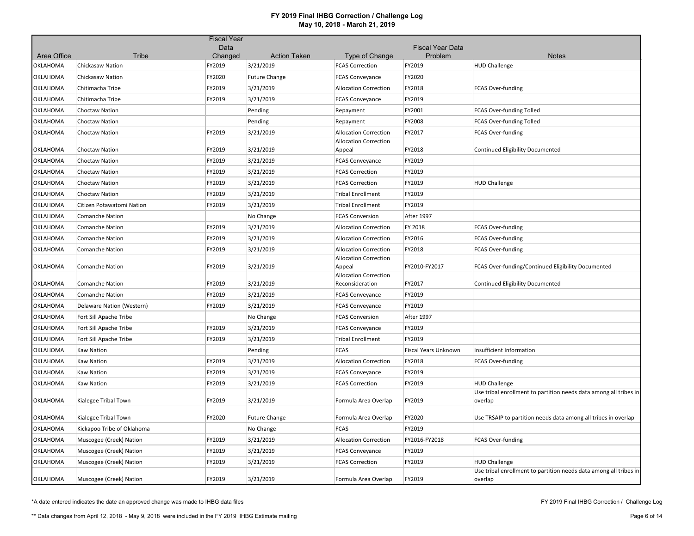|                 |                            | <b>Fiscal Year</b> |                                  |                                          |                         |                                                                              |
|-----------------|----------------------------|--------------------|----------------------------------|------------------------------------------|-------------------------|------------------------------------------------------------------------------|
| Area Office     | <b>Tribe</b>               | Data<br>Changed    |                                  |                                          | <b>Fiscal Year Data</b> |                                                                              |
| OKLAHOMA        | Chickasaw Nation           | FY2019             | <b>Action Taken</b><br>3/21/2019 | Type of Change<br><b>FCAS Correction</b> | Problem<br>FY2019       | <b>Notes</b><br><b>HUD Challenge</b>                                         |
| <b>OKLAHOMA</b> | <b>Chickasaw Nation</b>    | FY2020             | <b>Future Change</b>             | <b>FCAS Conveyance</b>                   | FY2020                  |                                                                              |
| OKLAHOMA        | Chitimacha Tribe           | FY2019             | 3/21/2019                        | <b>Allocation Correction</b>             | FY2018                  | <b>FCAS Over-funding</b>                                                     |
| OKLAHOMA        | Chitimacha Tribe           | FY2019             | 3/21/2019                        | <b>FCAS Conveyance</b>                   | FY2019                  |                                                                              |
| OKLAHOMA        | Choctaw Nation             |                    | Pending                          | Repayment                                | FY2001                  | FCAS Over-funding Tolled                                                     |
| <b>OKLAHOMA</b> | <b>Choctaw Nation</b>      |                    | Pending                          | Repayment                                | FY2008                  | FCAS Over-funding Tolled                                                     |
| OKLAHOMA        | <b>Choctaw Nation</b>      | FY2019             | 3/21/2019                        | <b>Allocation Correction</b>             | FY2017                  | <b>FCAS Over-funding</b>                                                     |
|                 |                            |                    |                                  | <b>Allocation Correction</b>             |                         |                                                                              |
| OKLAHOMA        | Choctaw Nation             | FY2019             | 3/21/2019                        | Appeal                                   | FY2018                  | Continued Eligibility Documented                                             |
| OKLAHOMA        | Choctaw Nation             | FY2019             | 3/21/2019                        | <b>FCAS Conveyance</b>                   | FY2019                  |                                                                              |
| OKLAHOMA        | <b>Choctaw Nation</b>      | FY2019             | 3/21/2019                        | <b>FCAS Correction</b>                   | FY2019                  |                                                                              |
| <b>OKLAHOMA</b> | Choctaw Nation             | FY2019             | 3/21/2019                        | <b>FCAS Correction</b>                   | FY2019                  | <b>HUD Challenge</b>                                                         |
| OKLAHOMA        | <b>Choctaw Nation</b>      | FY2019             | 3/21/2019                        | <b>Tribal Enrollment</b>                 | FY2019                  |                                                                              |
| OKLAHOMA        | Citizen Potawatomi Nation  | FY2019             | 3/21/2019                        | <b>Tribal Enrollment</b>                 | FY2019                  |                                                                              |
| OKLAHOMA        | <b>Comanche Nation</b>     |                    | No Change                        | <b>FCAS Conversion</b>                   | After 1997              |                                                                              |
| OKLAHOMA        | <b>Comanche Nation</b>     | FY2019             | 3/21/2019                        | <b>Allocation Correction</b>             | FY 2018                 | FCAS Over-funding                                                            |
| <b>OKLAHOMA</b> | <b>Comanche Nation</b>     | FY2019             | 3/21/2019                        | <b>Allocation Correction</b>             | FY2016                  | <b>FCAS Over-funding</b>                                                     |
| OKLAHOMA        | <b>Comanche Nation</b>     | FY2019             | 3/21/2019                        | <b>Allocation Correction</b>             | FY2018                  | <b>FCAS Over-funding</b>                                                     |
|                 |                            |                    |                                  | <b>Allocation Correction</b>             |                         |                                                                              |
| OKLAHOMA        | <b>Comanche Nation</b>     | FY2019             | 3/21/2019                        | Appeal<br><b>Allocation Correction</b>   | FY2010-FY2017           | FCAS Over-funding/Continued Eligibility Documented                           |
| OKLAHOMA        | <b>Comanche Nation</b>     | FY2019             | 3/21/2019                        | Reconsideration                          | FY2017                  | <b>Continued Eligibility Documented</b>                                      |
| OKLAHOMA        | <b>Comanche Nation</b>     | FY2019             | 3/21/2019                        | <b>FCAS Conveyance</b>                   | FY2019                  |                                                                              |
| OKLAHOMA        | Delaware Nation (Western)  | FY2019             | 3/21/2019                        | <b>FCAS Conveyance</b>                   | FY2019                  |                                                                              |
| OKLAHOMA        | Fort Sill Apache Tribe     |                    | No Change                        | <b>FCAS Conversion</b>                   | After 1997              |                                                                              |
| OKLAHOMA        | Fort Sill Apache Tribe     | FY2019             | 3/21/2019                        | <b>FCAS Conveyance</b>                   | FY2019                  |                                                                              |
| OKLAHOMA        | Fort Sill Apache Tribe     | FY2019             | 3/21/2019                        | <b>Tribal Enrollment</b>                 | FY2019                  |                                                                              |
| OKLAHOMA        | <b>Kaw Nation</b>          |                    | Pending                          | <b>FCAS</b>                              | Fiscal Years Unknown    | Insufficient Information                                                     |
| OKLAHOMA        | <b>Kaw Nation</b>          | FY2019             | 3/21/2019                        | <b>Allocation Correction</b>             | FY2018                  | FCAS Over-funding                                                            |
| <b>OKLAHOMA</b> | <b>Kaw Nation</b>          | FY2019             | 3/21/2019                        | <b>FCAS Conveyance</b>                   | FY2019                  |                                                                              |
| OKLAHOMA        | <b>Kaw Nation</b>          | FY2019             | 3/21/2019                        | <b>FCAS Correction</b>                   | FY2019                  | <b>HUD Challenge</b>                                                         |
| OKLAHOMA        | Kialegee Tribal Town       | FY2019             | 3/21/2019                        | Formula Area Overlap                     | FY2019                  | Use tribal enrollment to partition needs data among all tribes in<br>overlap |
| OKLAHOMA        | Kialegee Tribal Town       | FY2020             | <b>Future Change</b>             | Formula Area Overlap                     | FY2020                  | Use TRSAIP to partition needs data among all tribes in overlap               |
| OKLAHOMA        | Kickapoo Tribe of Oklahoma |                    | No Change                        | <b>FCAS</b>                              | FY2019                  |                                                                              |
| OKLAHOMA        | Muscogee (Creek) Nation    | FY2019             | 3/21/2019                        | <b>Allocation Correction</b>             | FY2016-FY2018           | <b>FCAS Over-funding</b>                                                     |
| OKLAHOMA        | Muscogee (Creek) Nation    | FY2019             | 3/21/2019                        | <b>FCAS Conveyance</b>                   | FY2019                  |                                                                              |
| OKLAHOMA        | Muscogee (Creek) Nation    | FY2019             | 3/21/2019                        | <b>FCAS Correction</b>                   | FY2019                  | <b>HUD Challenge</b>                                                         |
| <b>OKLAHOMA</b> | Muscogee (Creek) Nation    | FY2019             | 3/21/2019                        | Formula Area Overlap                     | FY2019                  | Use tribal enrollment to partition needs data among all tribes in<br>overlap |

\*A date entered indicates the date an approved change was made to IHBG data files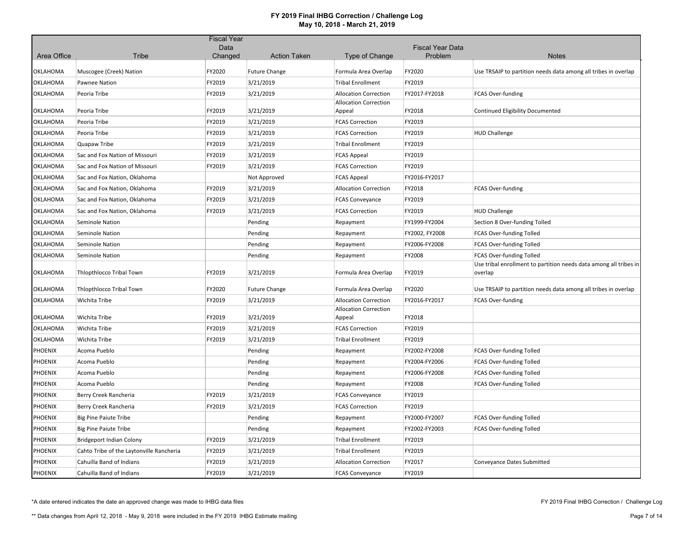| Area Office    | <b>Tribe</b>                             | Data<br>Changed | <b>Action Taken</b>  | Type of Change                         | <b>Fiscal Year Data</b><br>Problem | <b>Notes</b>                                                                 |
|----------------|------------------------------------------|-----------------|----------------------|----------------------------------------|------------------------------------|------------------------------------------------------------------------------|
|                |                                          |                 |                      |                                        |                                    |                                                                              |
| OKLAHOMA       | Muscogee (Creek) Nation                  | FY2020          | <b>Future Change</b> | Formula Area Overlap                   | FY2020                             | Use TRSAIP to partition needs data among all tribes in overlap               |
| OKLAHOMA       | Pawnee Nation                            | FY2019          | 3/21/2019            | <b>Tribal Enrollment</b>               | FY2019                             |                                                                              |
| OKLAHOMA       | Peoria Tribe                             | FY2019          | 3/21/2019            | <b>Allocation Correction</b>           | FY2017-FY2018                      | FCAS Over-funding                                                            |
|                |                                          |                 |                      | <b>Allocation Correction</b>           |                                    |                                                                              |
| OKLAHOMA       | Peoria Tribe                             | FY2019          | 3/21/2019            | Appeal                                 | FY2018                             | Continued Eligibility Documented                                             |
| OKLAHOMA       | Peoria Tribe                             | FY2019          | 3/21/2019            | <b>FCAS Correction</b>                 | FY2019                             |                                                                              |
| OKLAHOMA       | Peoria Tribe                             | FY2019          | 3/21/2019            | <b>FCAS Correction</b>                 | FY2019                             | <b>HUD Challenge</b>                                                         |
| OKLAHOMA       | Quapaw Tribe                             | FY2019          | 3/21/2019            | <b>Tribal Enrollment</b>               | FY2019                             |                                                                              |
| OKLAHOMA       | Sac and Fox Nation of Missouri           | FY2019          | 3/21/2019            | <b>FCAS Appeal</b>                     | FY2019                             |                                                                              |
| OKLAHOMA       | Sac and Fox Nation of Missouri           | FY2019          | 3/21/2019            | <b>FCAS Correction</b>                 | FY2019                             |                                                                              |
| OKLAHOMA       | Sac and Fox Nation, Oklahoma             |                 | Not Approved         | <b>FCAS Appeal</b>                     | FY2016-FY2017                      |                                                                              |
| OKLAHOMA       | Sac and Fox Nation, Oklahoma             | FY2019          | 3/21/2019            | <b>Allocation Correction</b>           | FY2018                             | <b>FCAS Over-funding</b>                                                     |
| OKLAHOMA       | Sac and Fox Nation, Oklahoma             | FY2019          | 3/21/2019            | <b>FCAS Conveyance</b>                 | FY2019                             |                                                                              |
| OKLAHOMA       | Sac and Fox Nation, Oklahoma             | FY2019          | 3/21/2019            | <b>FCAS Correction</b>                 | FY2019                             | <b>HUD Challenge</b>                                                         |
| OKLAHOMA       | Seminole Nation                          |                 | Pending              | Repayment                              | FY1999-FY2004                      | Section 8 Over-funding Tolled                                                |
| OKLAHOMA       | Seminole Nation                          |                 | Pending              | Repayment                              | FY2002, FY2008                     | FCAS Over-funding Tolled                                                     |
| OKLAHOMA       | Seminole Nation                          |                 | Pending              | Repayment                              | FY2006-FY2008                      | <b>FCAS Over-funding Tolled</b>                                              |
| OKLAHOMA       | Seminole Nation                          |                 | Pending              | Repayment                              | FY2008                             | FCAS Over-funding Tolled                                                     |
| OKLAHOMA       | Thlopthlocco Tribal Town                 | FY2019          | 3/21/2019            | Formula Area Overlap                   | FY2019                             | Use tribal enrollment to partition needs data among all tribes in<br>overlap |
| OKLAHOMA       | <b>Thiopthiocco Tribal Town</b>          | FY2020          | <b>Future Change</b> | Formula Area Overlap                   | FY2020                             | Use TRSAIP to partition needs data among all tribes in overlap               |
| OKLAHOMA       | Wichita Tribe                            | FY2019          | 3/21/2019            | <b>Allocation Correction</b>           | FY2016-FY2017                      | <b>FCAS Over-funding</b>                                                     |
| OKLAHOMA       | Wichita Tribe                            | FY2019          | 3/21/2019            | <b>Allocation Correction</b><br>Appeal | FY2018                             |                                                                              |
| OKLAHOMA       | Wichita Tribe                            | FY2019          | 3/21/2019            | <b>FCAS Correction</b>                 | FY2019                             |                                                                              |
| OKLAHOMA       | Wichita Tribe                            | FY2019          | 3/21/2019            | <b>Tribal Enrollment</b>               | FY2019                             |                                                                              |
| PHOENIX        | Acoma Pueblo                             |                 | Pending              | Repayment                              | FY2002-FY2008                      | FCAS Over-funding Tolled                                                     |
| PHOENIX        | Acoma Pueblo                             |                 | Pending              | Repayment                              | FY2004-FY2006                      | FCAS Over-funding Tolled                                                     |
| PHOENIX        | Acoma Pueblo                             |                 | Pending              | Repayment                              | FY2006-FY2008                      | FCAS Over-funding Tolled                                                     |
| PHOENIX        | Acoma Pueblo                             |                 | Pending              | Repayment                              | FY2008                             | <b>FCAS Over-funding Tolled</b>                                              |
| PHOENIX        | Berry Creek Rancheria                    | FY2019          | 3/21/2019            | <b>FCAS Conveyance</b>                 | FY2019                             |                                                                              |
| PHOENIX        | Berry Creek Rancheria                    | FY2019          | 3/21/2019            | <b>FCAS Correction</b>                 | FY2019                             |                                                                              |
| PHOENIX        | <b>Big Pine Paiute Tribe</b>             |                 | Pending              | Repayment                              | FY2000-FY2007                      | FCAS Over-funding Tolled                                                     |
| PHOENIX        | <b>Big Pine Paiute Tribe</b>             |                 | Pending              | Repayment                              | FY2002-FY2003                      | FCAS Over-funding Tolled                                                     |
| PHOENIX        | <b>Bridgeport Indian Colony</b>          | FY2019          | 3/21/2019            | <b>Tribal Enrollment</b>               | FY2019                             |                                                                              |
| PHOENIX        | Cahto Tribe of the Laytonville Rancheria | FY2019          | 3/21/2019            | Tribal Enrollment                      | FY2019                             |                                                                              |
| PHOENIX        | Cahuilla Band of Indians                 | FY2019          | 3/21/2019            | <b>Allocation Correction</b>           | FY2017                             | Conveyance Dates Submitted                                                   |
| <b>PHOENIX</b> | Cahuilla Band of Indians                 | FY2019          | 3/21/2019            | <b>FCAS Conveyance</b>                 | FY2019                             |                                                                              |

\*A date entered indicates the date an approved change was made to IHBG data files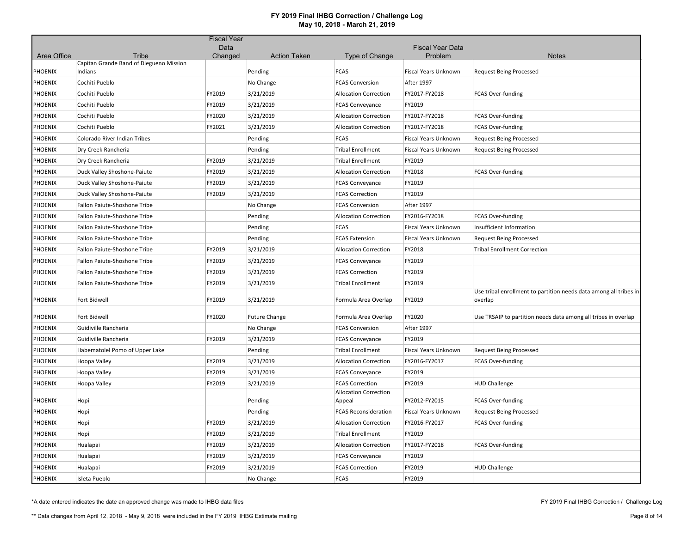|                |                                                  | <b>Fiscal Year</b> |                      |                                        |                             |                                                                   |
|----------------|--------------------------------------------------|--------------------|----------------------|----------------------------------------|-----------------------------|-------------------------------------------------------------------|
|                |                                                  | Data               |                      |                                        | <b>Fiscal Year Data</b>     |                                                                   |
| Area Office    | Tribe<br>Capitan Grande Band of Diegueno Mission | Changed            | <b>Action Taken</b>  | <b>Type of Change</b>                  | Problem                     | <b>Notes</b>                                                      |
| <b>PHOENIX</b> | Indians                                          |                    | Pending              | <b>FCAS</b>                            | Fiscal Years Unknown        | <b>Request Being Processed</b>                                    |
| PHOENIX        | Cochiti Pueblo                                   |                    | No Change            | <b>FCAS Conversion</b>                 | <b>After 1997</b>           |                                                                   |
| <b>PHOENIX</b> | Cochiti Pueblo                                   | FY2019             | 3/21/2019            | <b>Allocation Correction</b>           | FY2017-FY2018               | FCAS Over-funding                                                 |
| <b>PHOENIX</b> | Cochiti Pueblo                                   | FY2019             | 3/21/2019            | <b>FCAS Conveyance</b>                 | FY2019                      |                                                                   |
| <b>PHOENIX</b> | Cochiti Pueblo                                   | FY2020             | 3/21/2019            | <b>Allocation Correction</b>           | FY2017-FY2018               | FCAS Over-funding                                                 |
| <b>PHOENIX</b> | Cochiti Pueblo                                   | FY2021             | 3/21/2019            | <b>Allocation Correction</b>           | FY2017-FY2018               | <b>FCAS Over-funding</b>                                          |
| <b>PHOENIX</b> | Colorado River Indian Tribes                     |                    | Pending              | FCAS                                   | <b>Fiscal Years Unknown</b> | <b>Request Being Processed</b>                                    |
| <b>PHOENIX</b> | Dry Creek Rancheria                              |                    | Pending              | <b>Tribal Enrollment</b>               | <b>Fiscal Years Unknown</b> | <b>Request Being Processed</b>                                    |
| PHOENIX        | Dry Creek Rancheria                              | FY2019             | 3/21/2019            | <b>Tribal Enrollment</b>               | FY2019                      |                                                                   |
| PHOENIX        | Duck Valley Shoshone-Paiute                      | FY2019             | 3/21/2019            | <b>Allocation Correction</b>           | FY2018                      | FCAS Over-funding                                                 |
| <b>PHOENIX</b> | Duck Valley Shoshone-Paiute                      | FY2019             | 3/21/2019            | <b>FCAS Conveyance</b>                 | FY2019                      |                                                                   |
| <b>PHOENIX</b> | Duck Valley Shoshone-Paiute                      | FY2019             | 3/21/2019            | <b>FCAS Correction</b>                 | FY2019                      |                                                                   |
| <b>PHOENIX</b> | Fallon Paiute-Shoshone Tribe                     |                    | No Change            | <b>FCAS Conversion</b>                 | <b>After 1997</b>           |                                                                   |
| <b>PHOENIX</b> | Fallon Paiute-Shoshone Tribe                     |                    | Pending              | <b>Allocation Correction</b>           | FY2016-FY2018               | FCAS Over-funding                                                 |
| <b>PHOENIX</b> | Fallon Paiute-Shoshone Tribe                     |                    | Pending              | FCAS                                   | <b>Fiscal Years Unknown</b> | Insufficient Information                                          |
| <b>PHOENIX</b> | Fallon Paiute-Shoshone Tribe                     |                    | Pending              | <b>FCAS Extension</b>                  | Fiscal Years Unknown        | <b>Request Being Processed</b>                                    |
| <b>PHOENIX</b> | Fallon Paiute-Shoshone Tribe                     | FY2019             | 3/21/2019            | <b>Allocation Correction</b>           | FY2018                      | <b>Tribal Enrollment Correction</b>                               |
| <b>PHOENIX</b> | Fallon Paiute-Shoshone Tribe                     | FY2019             | 3/21/2019            | <b>FCAS Conveyance</b>                 | FY2019                      |                                                                   |
| <b>PHOENIX</b> | Fallon Paiute-Shoshone Tribe                     | FY2019             | 3/21/2019            | <b>FCAS Correction</b>                 | FY2019                      |                                                                   |
| <b>PHOENIX</b> | Fallon Paiute-Shoshone Tribe                     | FY2019             | 3/21/2019            | <b>Tribal Enrollment</b>               | FY2019                      |                                                                   |
|                |                                                  |                    |                      |                                        |                             | Use tribal enrollment to partition needs data among all tribes in |
| <b>PHOENIX</b> | Fort Bidwell                                     | FY2019             | 3/21/2019            | Formula Area Overlap                   | FY2019                      | overlap                                                           |
| <b>PHOENIX</b> | Fort Bidwell                                     | FY2020             | <b>Future Change</b> | Formula Area Overlap                   | FY2020                      | Use TRSAIP to partition needs data among all tribes in overlap    |
| PHOENIX        | Guidiville Rancheria                             |                    | No Change            | <b>FCAS Conversion</b>                 | After 1997                  |                                                                   |
| <b>PHOENIX</b> | Guidiville Rancheria                             | FY2019             | 3/21/2019            | <b>FCAS Conveyance</b>                 | FY2019                      |                                                                   |
| <b>PHOENIX</b> | Habematolel Pomo of Upper Lake                   |                    | Pending              | <b>Tribal Enrollment</b>               | Fiscal Years Unknown        | <b>Request Being Processed</b>                                    |
| <b>PHOENIX</b> | Hoopa Valley                                     | FY2019             | 3/21/2019            | <b>Allocation Correction</b>           | FY2016-FY2017               | <b>FCAS Over-funding</b>                                          |
| <b>PHOENIX</b> | Hoopa Valley                                     | FY2019             | 3/21/2019            | <b>FCAS Conveyance</b>                 | FY2019                      |                                                                   |
| <b>PHOENIX</b> | Hoopa Valley                                     | FY2019             | 3/21/2019            | <b>FCAS Correction</b>                 | FY2019                      | <b>HUD Challenge</b>                                              |
| <b>PHOENIX</b> | Hopi                                             |                    | Pending              | <b>Allocation Correction</b><br>Appeal | FY2012-FY2015               | FCAS Over-funding                                                 |
| <b>PHOENIX</b> | Hopi                                             |                    | Pending              | <b>FCAS Reconsideration</b>            | Fiscal Years Unknown        | <b>Request Being Processed</b>                                    |
| <b>PHOENIX</b> | Hopi                                             | FY2019             | 3/21/2019            | <b>Allocation Correction</b>           | FY2016-FY2017               | FCAS Over-funding                                                 |
| <b>PHOENIX</b> | Hopi                                             | FY2019             | 3/21/2019            | <b>Tribal Enrollment</b>               | FY2019                      |                                                                   |
| <b>PHOENIX</b> | Hualapai                                         | FY2019             | 3/21/2019            | <b>Allocation Correction</b>           | FY2017-FY2018               | <b>FCAS Over-funding</b>                                          |
| <b>PHOENIX</b> | Hualapai                                         | FY2019             | 3/21/2019            | <b>FCAS Conveyance</b>                 | FY2019                      |                                                                   |
| <b>PHOENIX</b> | Hualapai                                         | FY2019             | 3/21/2019            | <b>FCAS Correction</b>                 | FY2019                      | <b>HUD Challenge</b>                                              |
| <b>PHOENIX</b> | Isleta Pueblo                                    |                    | No Change            | <b>FCAS</b>                            | FY2019                      |                                                                   |

\*A date entered indicates the date an approved change was made to IHBG data files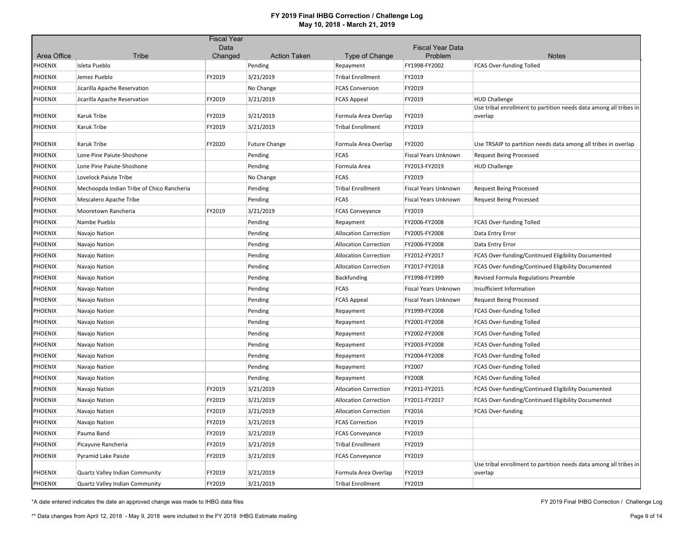|                        |                                           | <b>Fiscal Year</b> |                                |                              |                          |                                                                              |
|------------------------|-------------------------------------------|--------------------|--------------------------------|------------------------------|--------------------------|------------------------------------------------------------------------------|
|                        |                                           | Data               |                                |                              | <b>Fiscal Year Data</b>  |                                                                              |
| Area Office<br>PHOENIX | Tribe<br>Isleta Pueblo                    | Changed            | <b>Action Taken</b><br>Pending | Type of Change<br>Repayment  | Problem<br>FY1998-FY2002 | <b>Notes</b><br>FCAS Over-funding Tolled                                     |
| PHOENIX                | Jemez Pueblo                              | FY2019             | 3/21/2019                      | <b>Tribal Enrollment</b>     | FY2019                   |                                                                              |
| PHOENIX                | Jicarilla Apache Reservation              |                    | No Change                      | <b>FCAS Conversion</b>       | FY2019                   |                                                                              |
| PHOENIX                |                                           | FY2019             | 3/21/2019                      | <b>FCAS Appeal</b>           | FY2019                   | <b>HUD Challenge</b>                                                         |
|                        | Jicarilla Apache Reservation              |                    |                                |                              |                          | Use tribal enrollment to partition needs data among all tribes in            |
| PHOENIX                | Karuk Tribe                               | FY2019             | 3/21/2019                      | Formula Area Overlap         | FY2019                   | overlap                                                                      |
| PHOENIX                | Karuk Tribe                               | FY2019             | 3/21/2019                      | <b>Tribal Enrollment</b>     | FY2019                   |                                                                              |
| PHOENIX                | Karuk Tribe                               | FY2020             | <b>Future Change</b>           | Formula Area Overlap         | FY2020                   | Use TRSAIP to partition needs data among all tribes in overlap               |
| PHOENIX                | Lone Pine Paiute-Shoshone                 |                    | Pending                        | <b>FCAS</b>                  | Fiscal Years Unknown     | <b>Request Being Processed</b>                                               |
| PHOENIX                | Lone Pine Paiute-Shoshone                 |                    | Pending                        | Formula Area                 | FY2013-FY2019            | <b>HUD Challenge</b>                                                         |
| PHOENIX                | Lovelock Paiute Tribe                     |                    | No Change                      | <b>FCAS</b>                  | FY2019                   |                                                                              |
| PHOENIX                | Mechoopda Indian Tribe of Chico Rancheria |                    | Pending                        | <b>Tribal Enrollment</b>     | Fiscal Years Unknown     | <b>Request Being Processed</b>                                               |
| PHOENIX                | Mescalero Apache Tribe                    |                    | Pending                        | <b>FCAS</b>                  | Fiscal Years Unknown     | <b>Request Being Processed</b>                                               |
| PHOENIX                | Mooretown Rancheria                       | FY2019             | 3/21/2019                      | <b>FCAS Conveyance</b>       | FY2019                   |                                                                              |
| PHOENIX                | Nambe Pueblo                              |                    | Pending                        | Repayment                    | FY2006-FY2008            | FCAS Over-funding Tolled                                                     |
| PHOENIX                | Navajo Nation                             |                    | Pending                        | <b>Allocation Correction</b> | FY2005-FY2008            | Data Entry Error                                                             |
| PHOENIX                | Navajo Nation                             |                    | Pending                        | <b>Allocation Correction</b> | FY2006-FY2008            | Data Entry Error                                                             |
| PHOENIX                | Navajo Nation                             |                    | Pending                        | <b>Allocation Correction</b> | FY2012-FY2017            | FCAS Over-funding/Continued Eligibility Documented                           |
| PHOENIX                | Navajo Nation                             |                    | Pending                        | <b>Allocation Correction</b> | FY2017-FY2018            | FCAS Over-funding/Continued Eligibility Documented                           |
| PHOENIX                | Navajo Nation                             |                    | Pending                        | <b>Backfunding</b>           | FY1998-FY1999            | Revised Formula Regulations Preamble                                         |
| PHOENIX                | Navajo Nation                             |                    | Pending                        | <b>FCAS</b>                  | Fiscal Years Unknown     | Insufficient Information                                                     |
| PHOENIX                | Navajo Nation                             |                    | Pending                        | <b>FCAS Appeal</b>           | Fiscal Years Unknown     | <b>Request Being Processed</b>                                               |
| PHOENIX                | Navajo Nation                             |                    | Pending                        | Repayment                    | FY1999-FY2008            | FCAS Over-funding Tolled                                                     |
| PHOENIX                | Navajo Nation                             |                    | Pending                        | Repayment                    | FY2001-FY2008            | FCAS Over-funding Tolled                                                     |
| PHOENIX                | Navajo Nation                             |                    | Pending                        | Repayment                    | FY2002-FY2008            | FCAS Over-funding Tolled                                                     |
| PHOENIX                | Navajo Nation                             |                    | Pending                        | Repayment                    | FY2003-FY2008            | FCAS Over-funding Tolled                                                     |
| PHOENIX                | Navajo Nation                             |                    | Pending                        | Repayment                    | FY2004-FY2008            | FCAS Over-funding Tolled                                                     |
| PHOENIX                | Navajo Nation                             |                    | Pending                        | Repayment                    | FY2007                   | FCAS Over-funding Tolled                                                     |
| PHOENIX                | Navajo Nation                             |                    | Pending                        | Repayment                    | FY2008                   | FCAS Over-funding Tolled                                                     |
| PHOENIX                | Navajo Nation                             | FY2019             | 3/21/2019                      | <b>Allocation Correction</b> | FY2011-FY2015            | FCAS Over-funding/Continued Eligibility Documented                           |
| PHOENIX                | Navajo Nation                             | FY2019             | 3/21/2019                      | <b>Allocation Correction</b> | FY2011-FY2017            | FCAS Over-funding/Continued Eligibility Documented                           |
| PHOENIX                | Navajo Nation                             | FY2019             | 3/21/2019                      | <b>Allocation Correction</b> | FY2016                   | <b>FCAS Over-funding</b>                                                     |
| PHOENIX                | Navajo Nation                             | FY2019             | 3/21/2019                      | <b>FCAS Correction</b>       | FY2019                   |                                                                              |
| PHOENIX                | Pauma Band                                | FY2019             | 3/21/2019                      | <b>FCAS Conveyance</b>       | FY2019                   |                                                                              |
| PHOENIX                | Picayune Rancheria                        | FY2019             | 3/21/2019                      | <b>Tribal Enrollment</b>     | FY2019                   |                                                                              |
| PHOENIX                | Pyramid Lake Paiute                       | FY2019             | 3/21/2019                      | <b>FCAS Conveyance</b>       | FY2019                   |                                                                              |
| PHOENIX                | Quartz Valley Indian Community            | FY2019             | 3/21/2019                      | Formula Area Overlap         | FY2019                   | Use tribal enrollment to partition needs data among all tribes in<br>overlap |
| PHOENIX                | Quartz Valley Indian Community            | FY2019             | 3/21/2019                      | <b>Tribal Enrollment</b>     | FY2019                   |                                                                              |

\*A date entered indicates the date an approved change was made to IHBG data files

FY 2019 Final IHBG Correction / Challenge Log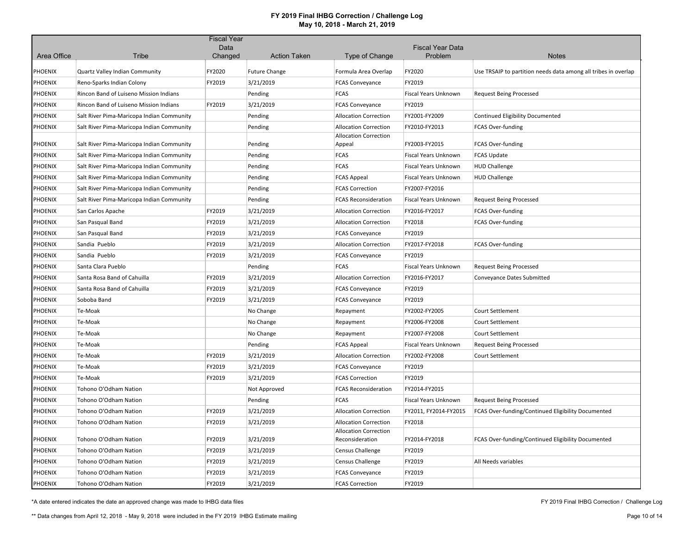|                |                                           | <b>Fiscal Year</b> |                      |                                                 |                                    |                                                                |
|----------------|-------------------------------------------|--------------------|----------------------|-------------------------------------------------|------------------------------------|----------------------------------------------------------------|
| Area Office    | Tribe                                     | Data<br>Changed    | <b>Action Taken</b>  | Type of Change                                  | <b>Fiscal Year Data</b><br>Problem | <b>Notes</b>                                                   |
|                |                                           |                    |                      |                                                 |                                    |                                                                |
| PHOENIX        | Quartz Valley Indian Community            | FY2020             | <b>Future Change</b> | Formula Area Overlap                            | FY2020                             | Use TRSAIP to partition needs data among all tribes in overlap |
| PHOENIX        | Reno-Sparks Indian Colony                 | FY2019             | 3/21/2019            | <b>FCAS Conveyance</b>                          | FY2019                             |                                                                |
| PHOENIX        | Rincon Band of Luiseno Mission Indians    |                    | Pending              | <b>FCAS</b>                                     | Fiscal Years Unknown               | <b>Request Being Processed</b>                                 |
| <b>PHOENIX</b> | Rincon Band of Luiseno Mission Indians    | FY2019             | 3/21/2019            | <b>FCAS Conveyance</b>                          | FY2019                             |                                                                |
| <b>PHOENIX</b> | Salt River Pima-Maricopa Indian Community |                    | Pending              | <b>Allocation Correction</b>                    | FY2001-FY2009                      | <b>Continued Eligibility Documented</b>                        |
| <b>PHOENIX</b> | Salt River Pima-Maricopa Indian Community |                    | Pending              | <b>Allocation Correction</b>                    | FY2010-FY2013                      | <b>FCAS Over-funding</b>                                       |
| PHOENIX        | Salt River Pima-Maricopa Indian Community |                    | Pending              | <b>Allocation Correction</b><br>Appeal          | FY2003-FY2015                      | <b>FCAS Over-funding</b>                                       |
| PHOENIX        | Salt River Pima-Maricopa Indian Community |                    | Pending              | <b>FCAS</b>                                     | Fiscal Years Unknown               | <b>FCAS Update</b>                                             |
| PHOENIX        | Salt River Pima-Maricopa Indian Community |                    | Pending              | <b>FCAS</b>                                     | Fiscal Years Unknown               | <b>HUD Challenge</b>                                           |
| PHOENIX        | Salt River Pima-Maricopa Indian Community |                    | Pending              | <b>FCAS Appeal</b>                              | Fiscal Years Unknown               | <b>HUD Challenge</b>                                           |
| <b>PHOENIX</b> | Salt River Pima-Maricopa Indian Community |                    | Pending              | <b>FCAS Correction</b>                          | FY2007-FY2016                      |                                                                |
| PHOENIX        | Salt River Pima-Maricopa Indian Community |                    | Pending              | <b>FCAS Reconsideration</b>                     | Fiscal Years Unknown               | <b>Request Being Processed</b>                                 |
| <b>PHOENIX</b> | San Carlos Apache                         | FY2019             | 3/21/2019            | <b>Allocation Correction</b>                    | FY2016-FY2017                      | <b>FCAS Over-funding</b>                                       |
| PHOENIX        | San Pasqual Band                          | FY2019             | 3/21/2019            | <b>Allocation Correction</b>                    | FY2018                             | <b>FCAS Over-funding</b>                                       |
| <b>PHOENIX</b> | San Pasqual Band                          | FY2019             | 3/21/2019            | <b>FCAS Conveyance</b>                          | FY2019                             |                                                                |
| PHOENIX        | Sandia Pueblo                             | FY2019             | 3/21/2019            | <b>Allocation Correction</b>                    | FY2017-FY2018                      | <b>FCAS Over-funding</b>                                       |
| PHOENIX        | Sandia Pueblo                             | FY2019             | 3/21/2019            | <b>FCAS Conveyance</b>                          | FY2019                             |                                                                |
| <b>PHOENIX</b> | Santa Clara Pueblo                        |                    | Pending              | <b>FCAS</b>                                     | Fiscal Years Unknown               | Request Being Processed                                        |
| PHOENIX        | Santa Rosa Band of Cahuilla               | FY2019             | 3/21/2019            | <b>Allocation Correction</b>                    | FY2016-FY2017                      | Conveyance Dates Submitted                                     |
| <b>PHOENIX</b> | Santa Rosa Band of Cahuilla               | FY2019             | 3/21/2019            | <b>FCAS Conveyance</b>                          | FY2019                             |                                                                |
| <b>PHOENIX</b> | Soboba Band                               | FY2019             | 3/21/2019            | <b>FCAS Conveyance</b>                          | FY2019                             |                                                                |
| PHOENIX        | Te-Moak                                   |                    | No Change            | Repayment                                       | FY2002-FY2005                      | <b>Court Settlement</b>                                        |
| <b>PHOENIX</b> | Te-Moak                                   |                    | No Change            | Repayment                                       | FY2006-FY2008                      | <b>Court Settlement</b>                                        |
| PHOENIX        | Te-Moak                                   |                    | No Change            | Repayment                                       | FY2007-FY2008                      | <b>Court Settlement</b>                                        |
| PHOENIX        | Te-Moak                                   |                    | Pending              | <b>FCAS Appeal</b>                              | Fiscal Years Unknown               | <b>Request Being Processed</b>                                 |
| PHOENIX        | Te-Moak                                   | FY2019             | 3/21/2019            | <b>Allocation Correction</b>                    | FY2002-FY2008                      | <b>Court Settlement</b>                                        |
| <b>PHOENIX</b> | Te-Moak                                   | FY2019             | 3/21/2019            | <b>FCAS Conveyance</b>                          | FY2019                             |                                                                |
| PHOENIX        | Te-Moak                                   | FY2019             | 3/21/2019            | <b>FCAS Correction</b>                          | FY2019                             |                                                                |
| PHOENIX        | Tohono O'Odham Nation                     |                    | Not Approved         | <b>FCAS Reconsideration</b>                     | FY2014-FY2015                      |                                                                |
| <b>PHOENIX</b> | Tohono O'Odham Nation                     |                    | Pending              | <b>FCAS</b>                                     | Fiscal Years Unknown               | <b>Request Being Processed</b>                                 |
| PHOENIX        | Tohono O'Odham Nation                     | FY2019             | 3/21/2019            | <b>Allocation Correction</b>                    | FY2011, FY2014-FY2015              | FCAS Over-funding/Continued Eligibility Documented             |
| PHOENIX        | Tohono O'Odham Nation                     | FY2019             | 3/21/2019            | <b>Allocation Correction</b>                    | FY2018                             |                                                                |
| PHOENIX        | Tohono O'Odham Nation                     | FY2019             | 3/21/2019            | <b>Allocation Correction</b><br>Reconsideration | FY2014-FY2018                      | FCAS Over-funding/Continued Eligibility Documented             |
| <b>PHOENIX</b> | Tohono O'Odham Nation                     | FY2019             | 3/21/2019            | <b>Census Challenge</b>                         | FY2019                             |                                                                |
| PHOENIX        | Tohono O'Odham Nation                     | FY2019             | 3/21/2019            | <b>Census Challenge</b>                         | FY2019                             | All Needs variables                                            |
| <b>PHOENIX</b> | Tohono O'Odham Nation                     | FY2019             | 3/21/2019            | <b>FCAS Conveyance</b>                          | FY2019                             |                                                                |
| <b>PHOENIX</b> | Tohono O'Odham Nation                     | FY2019             | 3/21/2019            | <b>FCAS Correction</b>                          | FY2019                             |                                                                |

\*A date entered indicates the date an approved change was made to IHBG data files

FY 2019 Final IHBG Correction / Challenge Log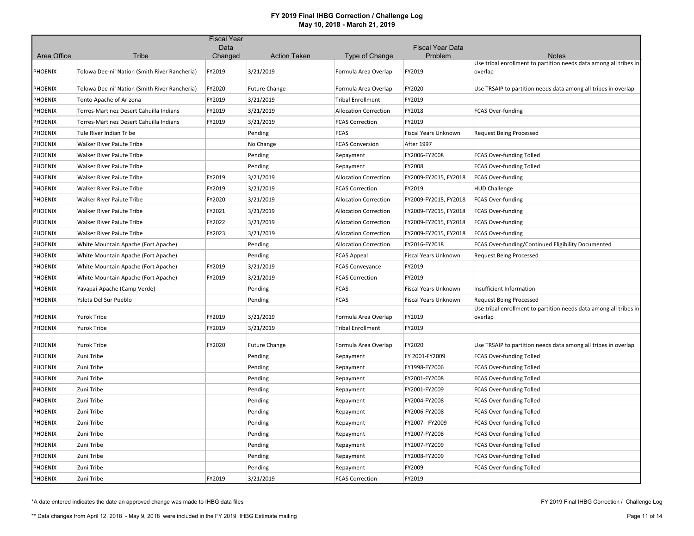|                |                                               | <b>Fiscal Year</b> |                      |                              |                         |                                                                                   |
|----------------|-----------------------------------------------|--------------------|----------------------|------------------------------|-------------------------|-----------------------------------------------------------------------------------|
|                |                                               | Data               |                      |                              | <b>Fiscal Year Data</b> |                                                                                   |
| Area Office    | Tribe                                         | Changed            | <b>Action Taken</b>  | Type of Change               | Problem                 | <b>Notes</b><br>Use tribal enrollment to partition needs data among all tribes in |
| <b>PHOENIX</b> | Tolowa Dee-ni' Nation (Smith River Rancheria) | FY2019             | 3/21/2019            | Formula Area Overlap         | FY2019                  | overlap                                                                           |
| PHOENIX        | Tolowa Dee-ni' Nation (Smith River Rancheria) | FY2020             | <b>Future Change</b> | Formula Area Overlap         | FY2020                  | Use TRSAIP to partition needs data among all tribes in overlap                    |
| <b>PHOENIX</b> | Tonto Apache of Arizona                       | FY2019             | 3/21/2019            | <b>Tribal Enrollment</b>     | FY2019                  |                                                                                   |
| <b>PHOENIX</b> | Torres-Martinez Desert Cahuilla Indians       | FY2019             | 3/21/2019            | <b>Allocation Correction</b> | FY2018                  | <b>FCAS Over-funding</b>                                                          |
| <b>PHOENIX</b> | Torres-Martinez Desert Cahuilla Indians       | FY2019             | 3/21/2019            | <b>FCAS Correction</b>       | FY2019                  |                                                                                   |
| PHOENIX        | Tule River Indian Tribe                       |                    | Pending              | <b>FCAS</b>                  | Fiscal Years Unknown    | <b>Request Being Processed</b>                                                    |
| <b>PHOENIX</b> | <b>Walker River Paiute Tribe</b>              |                    | No Change            | <b>FCAS Conversion</b>       | After 1997              |                                                                                   |
| PHOENIX        | <b>Walker River Paiute Tribe</b>              |                    | Pending              | Repayment                    | FY2006-FY2008           | FCAS Over-funding Tolled                                                          |
| PHOENIX        | Walker River Paiute Tribe                     |                    | Pending              | Repayment                    | FY2008                  | FCAS Over-funding Tolled                                                          |
| <b>PHOENIX</b> | Walker River Paiute Tribe                     | FY2019             | 3/21/2019            | <b>Allocation Correction</b> | FY2009-FY2015, FY2018   | <b>FCAS Over-funding</b>                                                          |
| <b>PHOENIX</b> | Walker River Paiute Tribe                     | FY2019             | 3/21/2019            | <b>FCAS Correction</b>       | FY2019                  | <b>HUD Challenge</b>                                                              |
| <b>PHOENIX</b> | <b>Walker River Paiute Tribe</b>              | FY2020             | 3/21/2019            | <b>Allocation Correction</b> | FY2009-FY2015, FY2018   | <b>FCAS Over-funding</b>                                                          |
| <b>PHOENIX</b> | Walker River Paiute Tribe                     | FY2021             | 3/21/2019            | <b>Allocation Correction</b> | FY2009-FY2015, FY2018   | <b>FCAS Over-funding</b>                                                          |
| PHOENIX        | <b>Walker River Paiute Tribe</b>              | FY2022             | 3/21/2019            | <b>Allocation Correction</b> | FY2009-FY2015, FY2018   | FCAS Over-funding                                                                 |
| PHOENIX        | Walker River Paiute Tribe                     | FY2023             | 3/21/2019            | <b>Allocation Correction</b> | FY2009-FY2015, FY2018   | FCAS Over-funding                                                                 |
| PHOENIX        | White Mountain Apache (Fort Apache)           |                    | Pending              | <b>Allocation Correction</b> | FY2016-FY2018           | FCAS Over-funding/Continued Eligibility Documented                                |
| <b>PHOENIX</b> | White Mountain Apache (Fort Apache)           |                    | Pending              | <b>FCAS Appeal</b>           | Fiscal Years Unknown    | <b>Request Being Processed</b>                                                    |
| <b>PHOENIX</b> | White Mountain Apache (Fort Apache)           | FY2019             | 3/21/2019            | <b>FCAS Conveyance</b>       | FY2019                  |                                                                                   |
| <b>PHOENIX</b> | White Mountain Apache (Fort Apache)           | FY2019             | 3/21/2019            | <b>FCAS Correction</b>       | FY2019                  |                                                                                   |
| <b>PHOENIX</b> | Yavapai-Apache (Camp Verde)                   |                    | Pending              | <b>FCAS</b>                  | Fiscal Years Unknown    | Insufficient Information                                                          |
| <b>PHOENIX</b> | Ysleta Del Sur Pueblo                         |                    | Pending              | <b>FCAS</b>                  | Fiscal Years Unknown    | <b>Request Being Processed</b>                                                    |
| PHOENIX        | Yurok Tribe                                   | FY2019             | 3/21/2019            | Formula Area Overlap         | FY2019                  | Use tribal enrollment to partition needs data among all tribes in<br>overlap      |
| <b>PHOENIX</b> | <b>Yurok Tribe</b>                            | FY2019             | 3/21/2019            | <b>Tribal Enrollment</b>     | FY2019                  |                                                                                   |
| <b>PHOENIX</b> | <b>Yurok Tribe</b>                            | FY2020             | <b>Future Change</b> | Formula Area Overlap         | FY2020                  | Use TRSAIP to partition needs data among all tribes in overlap                    |
| <b>PHOENIX</b> | Zuni Tribe                                    |                    | Pending              | Repayment                    | FY 2001-FY2009          | <b>FCAS Over-funding Tolled</b>                                                   |
| <b>PHOENIX</b> | Zuni Tribe                                    |                    | Pending              | Repayment                    | FY1998-FY2006           | FCAS Over-funding Tolled                                                          |
| <b>PHOENIX</b> | Zuni Tribe                                    |                    | Pending              | Repayment                    | FY2001-FY2008           | FCAS Over-funding Tolled                                                          |
| <b>PHOENIX</b> | Zuni Tribe                                    |                    | Pending              | Repayment                    | FY2001-FY2009           | FCAS Over-funding Tolled                                                          |
| PHOENIX        | Zuni Tribe                                    |                    | Pending              | Repayment                    | FY2004-FY2008           | FCAS Over-funding Tolled                                                          |
| <b>PHOENIX</b> | Zuni Tribe                                    |                    | Pending              | Repayment                    | FY2006-FY2008           | FCAS Over-funding Tolled                                                          |
| <b>PHOENIX</b> | Zuni Tribe                                    |                    | Pending              | Repayment                    | FY2007- FY2009          | FCAS Over-funding Tolled                                                          |
| <b>PHOENIX</b> | Zuni Tribe                                    |                    | Pending              | Repayment                    | FY2007-FY2008           | FCAS Over-funding Tolled                                                          |
| <b>PHOENIX</b> | Zuni Tribe                                    |                    | Pending              | Repayment                    | FY2007-FY2009           | FCAS Over-funding Tolled                                                          |
| PHOENIX        | Zuni Tribe                                    |                    | Pending              | Repayment                    | FY2008-FY2009           | <b>FCAS Over-funding Tolled</b>                                                   |
| <b>PHOENIX</b> | Zuni Tribe                                    |                    | Pending              | Repayment                    | FY2009                  | FCAS Over-funding Tolled                                                          |
| PHOENIX        | Zuni Tribe                                    | FY2019             | 3/21/2019            | <b>FCAS Correction</b>       | FY2019                  |                                                                                   |

\*A date entered indicates the date an approved change was made to IHBG data files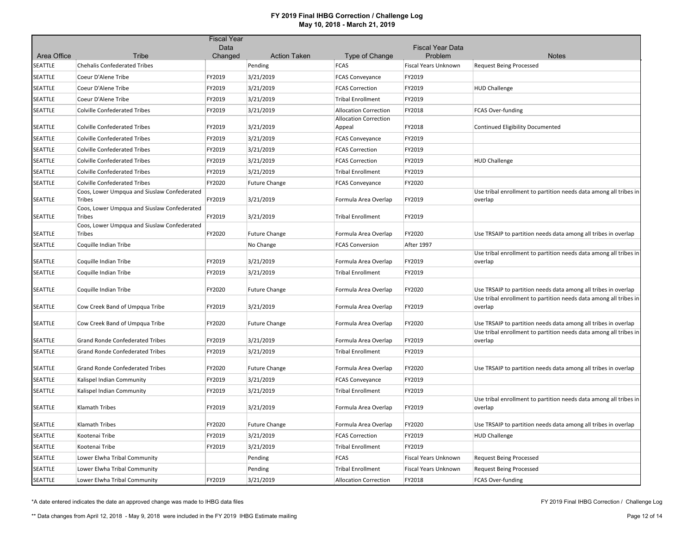|                        |                                                       | <b>Fiscal Year</b> |                                |                                        |                         |                                                                              |
|------------------------|-------------------------------------------------------|--------------------|--------------------------------|----------------------------------------|-------------------------|------------------------------------------------------------------------------|
|                        |                                                       | Data               |                                |                                        | <b>Fiscal Year Data</b> |                                                                              |
| Area Office<br>SEATTLE | Tribe<br><b>Chehalis Confederated Tribes</b>          | Changed            | <b>Action Taken</b><br>Pending | Type of Change<br><b>FCAS</b>          | Problem                 | <b>Notes</b><br><b>Request Being Processed</b>                               |
|                        |                                                       |                    |                                |                                        | Fiscal Years Unknown    |                                                                              |
| SEATTLE                | Coeur D'Alene Tribe                                   | FY2019             | 3/21/2019                      | <b>FCAS Conveyance</b>                 | FY2019                  |                                                                              |
| SEATTLE                | Coeur D'Alene Tribe                                   | FY2019             | 3/21/2019                      | <b>FCAS Correction</b>                 | FY2019                  | <b>HUD Challenge</b>                                                         |
| SEATTLE                | Coeur D'Alene Tribe                                   | FY2019             | 3/21/2019                      | <b>Tribal Enrollment</b>               | FY2019                  |                                                                              |
| SEATTLE                | <b>Colville Confederated Tribes</b>                   | FY2019             | 3/21/2019                      | <b>Allocation Correction</b>           | FY2018                  | FCAS Over-funding                                                            |
| SEATTLE                | <b>Colville Confederated Tribes</b>                   | FY2019             | 3/21/2019                      | <b>Allocation Correction</b><br>Appeal | FY2018                  | Continued Eligibility Documented                                             |
| SEATTLE                | <b>Colville Confederated Tribes</b>                   | FY2019             | 3/21/2019                      | <b>FCAS Conveyance</b>                 | FY2019                  |                                                                              |
| SEATTLE                | <b>Colville Confederated Tribes</b>                   | FY2019             | 3/21/2019                      | <b>FCAS Correction</b>                 | FY2019                  |                                                                              |
| SEATTLE                | <b>Colville Confederated Tribes</b>                   | FY2019             | 3/21/2019                      | <b>FCAS Correction</b>                 | FY2019                  | <b>HUD Challenge</b>                                                         |
| <b>SEATTLE</b>         | <b>Colville Confederated Tribes</b>                   | FY2019             | 3/21/2019                      | <b>Tribal Enrollment</b>               | FY2019                  |                                                                              |
| <b>SEATTLE</b>         | <b>Colville Confederated Tribes</b>                   | FY2020             | <b>Future Change</b>           | <b>FCAS Conveyance</b>                 | FY2020                  |                                                                              |
| SEATTLE                | Coos, Lower Umpqua and Siuslaw Confederated<br>Tribes | FY2019             | 3/21/2019                      | Formula Area Overlap                   | FY2019                  | Use tribal enrollment to partition needs data among all tribes in<br>overlap |
| SEATTLE                | Coos, Lower Umpqua and Siuslaw Confederated<br>Tribes | FY2019             | 3/21/2019                      | <b>Tribal Enrollment</b>               | FY2019                  |                                                                              |
| SEATTLE                | Coos, Lower Umpqua and Siuslaw Confederated<br>Tribes | FY2020             | <b>Future Change</b>           | Formula Area Overlap                   | FY2020                  | Use TRSAIP to partition needs data among all tribes in overlap               |
| <b>SEATTLE</b>         | Coquille Indian Tribe                                 |                    | No Change                      | <b>FCAS Conversion</b>                 | After 1997              |                                                                              |
| SEATTLE                | Coquille Indian Tribe                                 | FY2019             | 3/21/2019                      | Formula Area Overlap                   | FY2019                  | Use tribal enrollment to partition needs data among all tribes in<br>overlap |
| SEATTLE                | Coquille Indian Tribe                                 | FY2019             | 3/21/2019                      | <b>Tribal Enrollment</b>               | FY2019                  |                                                                              |
| SEATTLE                | Coquille Indian Tribe                                 | FY2020             | <b>Future Change</b>           | Formula Area Overlap                   | FY2020                  | Use TRSAIP to partition needs data among all tribes in overlap               |
| SEATTLE                | Cow Creek Band of Umpqua Tribe                        | FY2019             | 3/21/2019                      | Formula Area Overlap                   | FY2019                  | Use tribal enrollment to partition needs data among all tribes in<br>overlap |
| SEATTLE                | Cow Creek Band of Umpqua Tribe                        | FY2020             | <b>Future Change</b>           | Formula Area Overlap                   | FY2020                  | Use TRSAIP to partition needs data among all tribes in overlap               |
| SEATTLE                | <b>Grand Ronde Confederated Tribes</b>                | FY2019             | 3/21/2019                      | Formula Area Overlap                   | FY2019                  | Use tribal enrollment to partition needs data among all tribes in<br>overlap |
| SEATTLE                | <b>Grand Ronde Confederated Tribes</b>                | FY2019             | 3/21/2019                      | <b>Tribal Enrollment</b>               | FY2019                  |                                                                              |
|                        |                                                       |                    |                                |                                        |                         |                                                                              |
| SEATTLE                | Grand Ronde Confederated Tribes                       | FY2020             | <b>Future Change</b>           | Formula Area Overlap                   | FY2020                  | Use TRSAIP to partition needs data among all tribes in overlap               |
| SEATTLE                | Kalispel Indian Community                             | FY2019             | 3/21/2019                      | <b>FCAS Conveyance</b>                 | FY2019                  |                                                                              |
| SEATTLE                | Kalispel Indian Community                             | FY2019             | 3/21/2019                      | <b>Tribal Enrollment</b>               | FY2019                  |                                                                              |
| SEATTLE                | Klamath Tribes                                        | FY2019             | 3/21/2019                      | Formula Area Overlap                   | FY2019                  | Use tribal enrollment to partition needs data among all tribes in<br>overlap |
| SEATTLE                | Klamath Tribes                                        | FY2020             | <b>Future Change</b>           | Formula Area Overlap                   | FY2020                  | Use TRSAIP to partition needs data among all tribes in overlap               |
| SEATTLE                | Kootenai Tribe                                        | FY2019             | 3/21/2019                      | <b>FCAS Correction</b>                 | FY2019                  | <b>HUD Challenge</b>                                                         |
| SEATTLE                | Kootenai Tribe                                        | FY2019             | 3/21/2019                      | <b>Tribal Enrollment</b>               | FY2019                  |                                                                              |
| SEATTLE                | Lower Elwha Tribal Community                          |                    | Pending                        | <b>FCAS</b>                            | Fiscal Years Unknown    | <b>Request Being Processed</b>                                               |
| SEATTLE                | Lower Elwha Tribal Community                          |                    | Pending                        | <b>Tribal Enrollment</b>               | Fiscal Years Unknown    | <b>Request Being Processed</b>                                               |
| SEATTLE                | Lower Elwha Tribal Community                          | FY2019             | 3/21/2019                      | <b>Allocation Correction</b>           | FY2018                  | FCAS Over-funding                                                            |

\*A date entered indicates the date an approved change was made to IHBG data files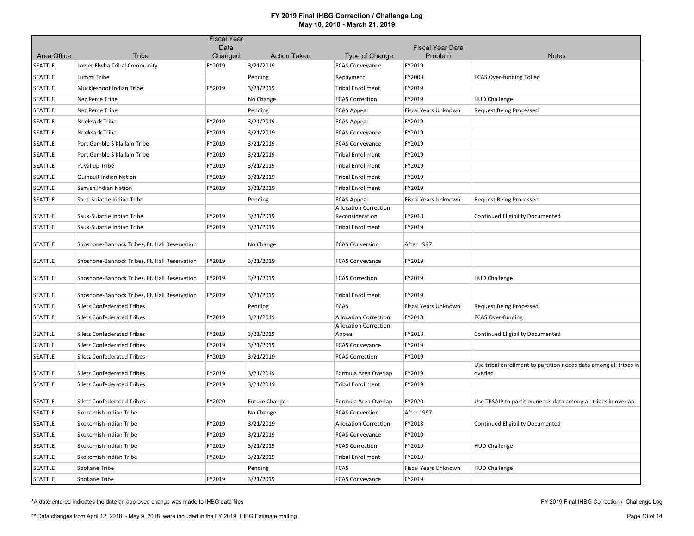|             |                                               | <b>Fiscal Year</b> |                                  |                                                 |                                    |                                                                              |
|-------------|-----------------------------------------------|--------------------|----------------------------------|-------------------------------------------------|------------------------------------|------------------------------------------------------------------------------|
| Area Office | Tribe                                         | Data<br>Changed    |                                  |                                                 | <b>Fiscal Year Data</b><br>Problem | <b>Notes</b>                                                                 |
| SEATTLE     | Lower Elwha Tribal Community                  | FY2019             | <b>Action Taken</b><br>3/21/2019 | Type of Change<br><b>FCAS Conveyance</b>        | FY2019                             |                                                                              |
| SEATTLE     | Lummi Tribe                                   |                    | Pending                          | Repayment                                       | FY2008                             | <b>FCAS Over-funding Tolled</b>                                              |
| SEATTLE     | Muckleshoot Indian Tribe                      | FY2019             | 3/21/2019                        | <b>Tribal Enrollment</b>                        | FY2019                             |                                                                              |
| SEATTLE     | Nez Perce Tribe                               |                    | No Change                        | <b>FCAS Correction</b>                          | FY2019                             | <b>HUD Challenge</b>                                                         |
| SEATTLE     | Nez Perce Tribe                               |                    | Pending                          | <b>FCAS Appeal</b>                              | Fiscal Years Unknown               | <b>Request Being Processed</b>                                               |
| SEATTLE     | Nooksack Tribe                                | FY2019             | 3/21/2019                        |                                                 | FY2019                             |                                                                              |
| SEATTLE     | Nooksack Tribe                                | FY2019             | 3/21/2019                        | <b>FCAS Appeal</b><br><b>FCAS Conveyance</b>    | FY2019                             |                                                                              |
| SEATTLE     | Port Gamble S'Klallam Tribe                   | FY2019             |                                  |                                                 | FY2019                             |                                                                              |
|             |                                               |                    | 3/21/2019                        | <b>FCAS Conveyance</b>                          |                                    |                                                                              |
| SEATTLE     | Port Gamble S'Klallam Tribe                   | FY2019             | 3/21/2019                        | <b>Tribal Enrollment</b>                        | FY2019                             |                                                                              |
| SEATTLE     | Puyallup Tribe                                | FY2019             | 3/21/2019                        | <b>Tribal Enrollment</b>                        | FY2019                             |                                                                              |
| SEATTLE     | Quinault Indian Nation                        | FY2019             | 3/21/2019                        | <b>Tribal Enrollment</b>                        | FY2019                             |                                                                              |
| SEATTLE     | Samish Indian Nation                          | FY2019             | 3/21/2019                        | <b>Tribal Enrollment</b>                        | FY2019                             |                                                                              |
| SEATTLE     | Sauk-Suiattle Indian Tribe                    |                    | Pending                          | <b>FCAS Appeal</b>                              | Fiscal Years Unknown               | <b>Request Being Processed</b>                                               |
| SEATTLE     | Sauk-Suiattle Indian Tribe                    | FY2019             | 3/21/2019                        | <b>Allocation Correction</b><br>Reconsideration | FY2018                             | Continued Eligibility Documented                                             |
| SEATTLE     | Sauk-Suiattle Indian Tribe                    | FY2019             | 3/21/2019                        | <b>Tribal Enrollment</b>                        | FY2019                             |                                                                              |
|             |                                               |                    |                                  |                                                 |                                    |                                                                              |
| SEATTLE     | Shoshone-Bannock Tribes, Ft. Hall Reservation |                    | No Change                        | <b>FCAS Conversion</b>                          | After 1997                         |                                                                              |
| SEATTLE     | Shoshone-Bannock Tribes, Ft. Hall Reservation | FY2019             | 3/21/2019                        | <b>FCAS Conveyance</b>                          | FY2019                             |                                                                              |
| SEATTLE     | Shoshone-Bannock Tribes, Ft. Hall Reservation | FY2019             | 3/21/2019                        | <b>FCAS Correction</b>                          | FY2019                             | <b>HUD Challenge</b>                                                         |
| SEATTLE     | Shoshone-Bannock Tribes, Ft. Hall Reservation | FY2019             | 3/21/2019                        | <b>Tribal Enrollment</b>                        | FY2019                             |                                                                              |
| SEATTLE     | <b>Siletz Confederated Tribes</b>             |                    | Pending                          | <b>FCAS</b>                                     | Fiscal Years Unknown               | <b>Request Being Processed</b>                                               |
| SEATTLE     | <b>Siletz Confederated Tribes</b>             | FY2019             | 3/21/2019                        | <b>Allocation Correction</b>                    | FY2018                             | <b>FCAS Over-funding</b>                                                     |
| SEATTLE     | <b>Siletz Confederated Tribes</b>             | FY2019             | 3/21/2019                        | <b>Allocation Correction</b><br>Appeal          | FY2018                             | Continued Eligibility Documented                                             |
| SEATTLE     | <b>Siletz Confederated Tribes</b>             | FY2019             | 3/21/2019                        | <b>FCAS Conveyance</b>                          | FY2019                             |                                                                              |
| SEATTLE     | <b>Siletz Confederated Tribes</b>             | FY2019             | 3/21/2019                        | <b>FCAS Correction</b>                          | FY2019                             |                                                                              |
| SEATTLE     | <b>Siletz Confederated Tribes</b>             | FY2019             | 3/21/2019                        | Formula Area Overlap                            | FY2019                             | Use tribal enrollment to partition needs data among all tribes in<br>overlap |
| SEATTLE     | <b>Siletz Confederated Tribes</b>             | FY2019             | 3/21/2019                        | <b>Tribal Enrollment</b>                        | FY2019                             |                                                                              |
| SEATTLE     | <b>Siletz Confederated Tribes</b>             | FY2020             | <b>Future Change</b>             | Formula Area Overlap                            | FY2020                             | Use TRSAIP to partition needs data among all tribes in overlap               |
| SEATTLE     | Skokomish Indian Tribe                        |                    | No Change                        | <b>FCAS Conversion</b>                          | After 1997                         |                                                                              |
| SEATTLE     | Skokomish Indian Tribe                        | FY2019             | 3/21/2019                        | <b>Allocation Correction</b>                    | FY2018                             | Continued Eligibility Documented                                             |
| SEATTLE     | Skokomish Indian Tribe                        | FY2019             | 3/21/2019                        | <b>FCAS Conveyance</b>                          | FY2019                             |                                                                              |
| SEATTLE     | Skokomish Indian Tribe                        | FY2019             | 3/21/2019                        | <b>FCAS Correction</b>                          | FY2019                             | <b>HUD Challenge</b>                                                         |
| SEATTLE     | Skokomish Indian Tribe                        | FY2019             | 3/21/2019                        | <b>Tribal Enrollment</b>                        | FY2019                             |                                                                              |
| SEATTLE     | Spokane Tribe                                 |                    | Pending                          | <b>FCAS</b>                                     | Fiscal Years Unknown               | <b>HUD Challenge</b>                                                         |
| SEATTLE     | Spokane Tribe                                 | FY2019             | 3/21/2019                        | <b>FCAS Conveyance</b>                          | FY2019                             |                                                                              |

\*A date entered indicates the date an approved change was made to IHBG data files